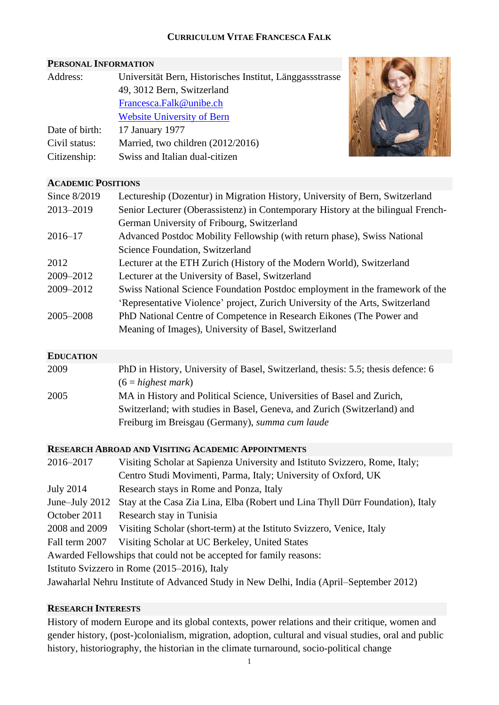# **CURRICULUM VITAE FRANCESCA FALK**

# **PERSONAL INFORMATION**

| Address:       | Universität Bern, Historisches Institut, Länggassstrasse |  |  |  |  |
|----------------|----------------------------------------------------------|--|--|--|--|
|                | 49, 3012 Bern, Switzerland                               |  |  |  |  |
|                | Francesca.Falk@unibe.ch                                  |  |  |  |  |
|                | <b>Website University of Bern</b>                        |  |  |  |  |
| Date of birth: | 17 January 1977                                          |  |  |  |  |
| Civil status:  | Married, two children (2012/2016)                        |  |  |  |  |
| Citizenship:   | Swiss and Italian dual-citizen                           |  |  |  |  |



## **ACADEMIC POSITIONS**

| Since 8/2019 | Lectureship (Dozentur) in Migration History, University of Bern, Switzerland     |
|--------------|----------------------------------------------------------------------------------|
| 2013-2019    | Senior Lecturer (Oberassistenz) in Contemporary History at the bilingual French- |
|              | German University of Fribourg, Switzerland                                       |
| $2016 - 17$  | Advanced Postdoc Mobility Fellowship (with return phase), Swiss National         |
|              | Science Foundation, Switzerland                                                  |
| 2012         | Lecturer at the ETH Zurich (History of the Modern World), Switzerland            |
| 2009-2012    | Lecturer at the University of Basel, Switzerland                                 |
| 2009-2012    | Swiss National Science Foundation Postdoc employment in the framework of the     |
|              | 'Representative Violence' project, Zurich University of the Arts, Switzerland    |
| 2005-2008    | PhD National Centre of Competence in Research Eikones (The Power and             |
|              | Meaning of Images), University of Basel, Switzerland                             |

# **EDUCATION**

| 2009 | PhD in History, University of Basel, Switzerland, thesis: 5.5; thesis defence: 6 |
|------|----------------------------------------------------------------------------------|
|      | $(6 = highest mark)$                                                             |
| 2005 | MA in History and Political Science, Universities of Basel and Zurich,           |
|      | Switzerland; with studies in Basel, Geneva, and Zurich (Switzerland) and         |
|      | Freiburg im Breisgau (Germany), <i>summa cum laude</i>                           |

## **RESEARCH ABROAD AND VISITING ACADEMIC APPOINTMENTS**

| 2016-2017        | Visiting Scholar at Sapienza University and Istituto Svizzero, Rome, Italy;             |  |  |
|------------------|-----------------------------------------------------------------------------------------|--|--|
|                  | Centro Studi Movimenti, Parma, Italy; University of Oxford, UK                          |  |  |
| <b>July 2014</b> | Research stays in Rome and Ponza, Italy                                                 |  |  |
| June–July 2012   | Stay at the Casa Zia Lina, Elba (Robert und Lina Thyll Dürr Foundation), Italy          |  |  |
| October 2011     | Research stay in Tunisia                                                                |  |  |
| 2008 and 2009    | Visiting Scholar (short-term) at the Istituto Svizzero, Venice, Italy                   |  |  |
| Fall term 2007   | Visiting Scholar at UC Berkeley, United States                                          |  |  |
|                  | Awarded Fellowships that could not be accepted for family reasons:                      |  |  |
|                  | Istituto Svizzero in Rome (2015–2016), Italy                                            |  |  |
|                  | Jawaharlal Nehru Institute of Advanced Study in New Delhi, India (April–September 2012) |  |  |

# **RESEARCH INTERESTS**

History of modern Europe and its global contexts, power relations and their critique, women and gender history, (post-)colonialism, migration, adoption, cultural and visual studies, oral and public history, historiography, the historian in the climate turnaround, socio-political change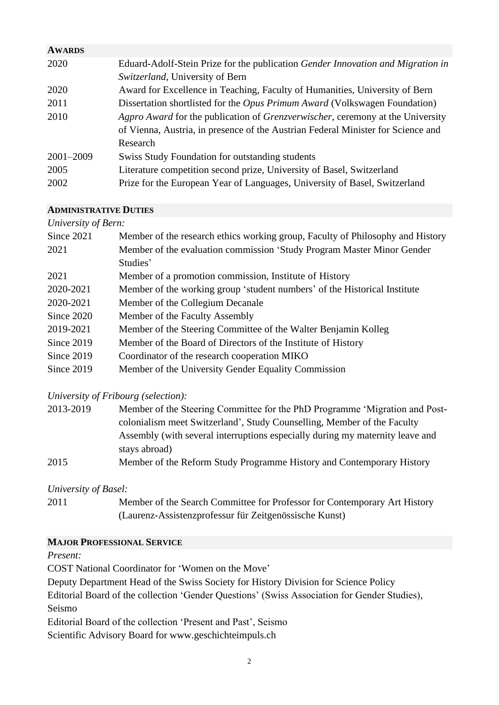| <b>AWARDS</b> |                                                                                   |
|---------------|-----------------------------------------------------------------------------------|
| 2020          | Eduard-Adolf-Stein Prize for the publication Gender Innovation and Migration in   |
|               | Switzerland, University of Bern                                                   |
| 2020          | Award for Excellence in Teaching, Faculty of Humanities, University of Bern       |
| 2011          | Dissertation shortlisted for the <i>Opus Primum Award</i> (Volkswagen Foundation) |
| 2010          | Agpro Award for the publication of Grenzverwischer, ceremony at the University    |
|               | of Vienna, Austria, in presence of the Austrian Federal Minister for Science and  |
|               | Research                                                                          |
| 2001-2009     | Swiss Study Foundation for outstanding students                                   |
| 2005          | Literature competition second prize, University of Basel, Switzerland             |
| 2002          | Prize for the European Year of Languages, University of Basel, Switzerland        |

# **ADMINISTRATIVE DUTIES**

| University of Bern: |                                                                                |  |  |  |
|---------------------|--------------------------------------------------------------------------------|--|--|--|
| Since 2021          | Member of the research ethics working group, Faculty of Philosophy and History |  |  |  |
| 2021                | Member of the evaluation commission 'Study Program Master Minor Gender         |  |  |  |
|                     | Studies'                                                                       |  |  |  |
| 2021                | Member of a promotion commission, Institute of History                         |  |  |  |
| 2020-2021           | Member of the working group 'student numbers' of the Historical Institute      |  |  |  |
| 2020-2021           | Member of the Collegium Decanale                                               |  |  |  |
| Since 2020          | Member of the Faculty Assembly                                                 |  |  |  |
| 2019-2021           | Member of the Steering Committee of the Walter Benjamin Kolleg                 |  |  |  |
| Since $2019$        | Member of the Board of Directors of the Institute of History                   |  |  |  |
| Since 2019          | Coordinator of the research cooperation MIKO                                   |  |  |  |
| Since 2019          | Member of the University Gender Equality Commission                            |  |  |  |

# *University of Fribourg (selection):*

| 2013-2019 | Member of the Steering Committee for the PhD Programme 'Migration and Post-   |
|-----------|-------------------------------------------------------------------------------|
|           | colonialism meet Switzerland', Study Counselling, Member of the Faculty       |
|           | Assembly (with several interruptions especially during my maternity leave and |
|           | stays abroad)                                                                 |
| 2015      | Member of the Reform Study Programme History and Contemporary History         |

# *University of Basel:*

| 2011 | Member of the Search Committee for Professor for Contemporary Art History |
|------|---------------------------------------------------------------------------|
|      | (Laurenz-Assistenzprofessur für Zeitgenössische Kunst)                    |

# **MAJOR PROFESSIONAL SERVICE**

# *Present:*

COST National Coordinator for 'Women on the Move'

Deputy Department Head of the Swiss Society for History Division for Science Policy

Editorial Board of the collection 'Gender Questions' (Swiss Association for Gender Studies), Seismo

Editorial Board of the collection 'Present and Past', Seismo

Scientific Advisory Board for www.geschichteimpuls.ch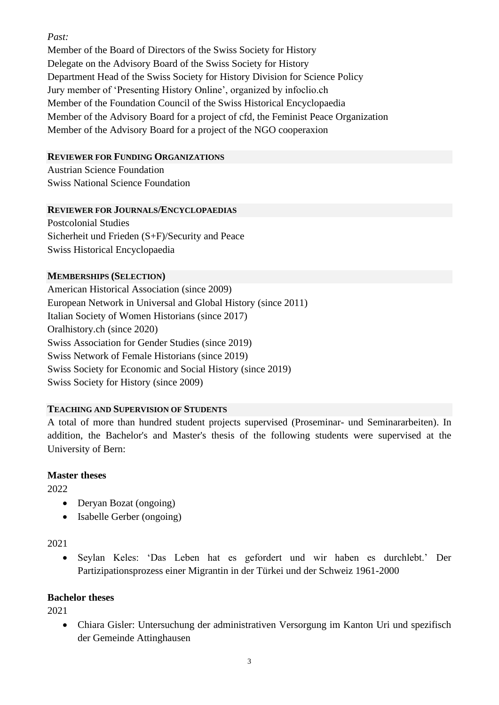# *Past:*

Member of the Board of Directors of the Swiss Society for History Delegate on the Advisory Board of the Swiss Society for History Department Head of the Swiss Society for History Division for Science Policy Jury member of 'Presenting History Online', organized by infoclio.ch Member of the Foundation Council of the Swiss Historical Encyclopaedia Member of the Advisory Board for a project of cfd, the Feminist Peace Organization Member of the Advisory Board for a project of the NGO cooperaxion

# **REVIEWER FOR FUNDING ORGANIZATIONS**

Austrian Science Foundation Swiss National Science Foundation

## **REVIEWER FOR JOURNALS/ENCYCLOPAEDIAS**

Postcolonial Studies Sicherheit und Frieden (S+F)/Security and Peace Swiss Historical Encyclopaedia

## **MEMBERSHIPS (SELECTION)**

American Historical Association (since 2009) European Network in Universal and Global History (since 2011) Italian Society of Women Historians (since 2017) Oralhistory.ch (since 2020) Swiss Association for Gender Studies (since 2019) Swiss Network of Female Historians (since 2019) Swiss Society for Economic and Social History (since 2019) Swiss Society for History (since 2009)

# **TEACHING AND SUPERVISION OF STUDENTS**

A total of more than hundred student projects supervised (Proseminar- und Seminararbeiten). In addition, the Bachelor's and Master's thesis of the following students were supervised at the University of Bern:

# **Master theses**

2022

- Deryan Bozat (ongoing)
- Isabelle Gerber (ongoing)

# 2021

• Seylan Keles: 'Das Leben hat es gefordert und wir haben es durchlebt.' Der Partizipationsprozess einer Migrantin in der Türkei und der Schweiz 1961-2000

# **Bachelor theses**

2021

• Chiara Gisler: Untersuchung der administrativen Versorgung im Kanton Uri und spezifisch der Gemeinde Attinghausen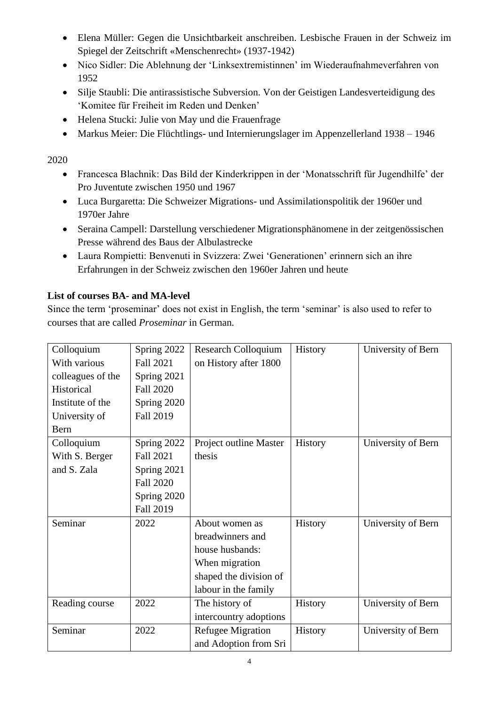- Elena Müller: Gegen die Unsichtbarkeit anschreiben. Lesbische Frauen in der Schweiz im Spiegel der Zeitschrift «Menschenrecht» (1937-1942)
- Nico Sidler: Die Ablehnung der 'Linksextremistinnen' im Wiederaufnahmeverfahren von 1952
- Silje Staubli: Die antirassistische Subversion. Von der Geistigen Landesverteidigung des 'Komitee für Freiheit im Reden und Denken'
- Helena Stucki: Julie von May und die Frauenfrage
- Markus Meier: Die Flüchtlings- und Internierungslager im Appenzellerland 1938 1946

# 2020

- Francesca Blachnik: Das Bild der Kinderkrippen in der 'Monatsschrift für Jugendhilfe' der Pro Juventute zwischen 1950 und 1967
- Luca Burgaretta: Die Schweizer Migrations- und Assimilationspolitik der 1960er und 1970er Jahre
- Seraina Campell: Darstellung verschiedener Migrationsphänomene in der zeitgenössischen Presse während des Baus der Albulastrecke
- Laura Rompietti: Benvenuti in Svizzera: Zwei 'Generationen' erinnern sich an ihre Erfahrungen in der Schweiz zwischen den 1960er Jahren und heute

# **List of courses BA- and MA-level**

Since the term 'proseminar' does not exist in English, the term 'seminar' is also used to refer to courses that are called *Proseminar* in German.

| Colloquium        | Spring 2022      | <b>Research Colloquium</b> | History | University of Bern |
|-------------------|------------------|----------------------------|---------|--------------------|
| With various      | <b>Fall 2021</b> | on History after 1800      |         |                    |
| colleagues of the | Spring 2021      |                            |         |                    |
| Historical        | Fall 2020        |                            |         |                    |
| Institute of the  | Spring 2020      |                            |         |                    |
| University of     | <b>Fall 2019</b> |                            |         |                    |
| Bern              |                  |                            |         |                    |
| Colloquium        | Spring 2022      | Project outline Master     | History | University of Bern |
| With S. Berger    | <b>Fall 2021</b> | thesis                     |         |                    |
| and S. Zala       | Spring 2021      |                            |         |                    |
|                   | <b>Fall 2020</b> |                            |         |                    |
|                   | Spring 2020      |                            |         |                    |
|                   | Fall 2019        |                            |         |                    |
| Seminar           | 2022             | About women as             | History | University of Bern |
|                   |                  | breadwinners and           |         |                    |
|                   |                  | house husbands:            |         |                    |
|                   |                  | When migration             |         |                    |
|                   |                  | shaped the division of     |         |                    |
|                   |                  | labour in the family       |         |                    |
| Reading course    | 2022             | The history of             | History | University of Bern |
|                   |                  | intercountry adoptions     |         |                    |
| Seminar           | 2022             | <b>Refugee Migration</b>   | History | University of Bern |
|                   |                  | and Adoption from Sri      |         |                    |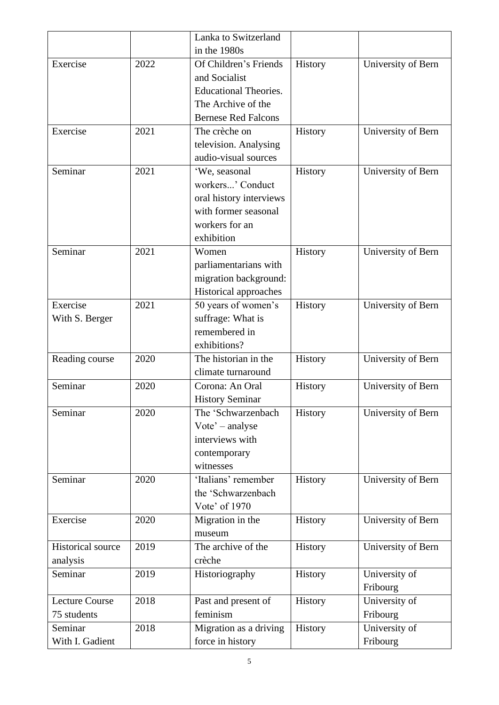|                          |      | Lanka to Switzerland         |         |                    |
|--------------------------|------|------------------------------|---------|--------------------|
|                          |      | in the 1980s                 |         |                    |
| Exercise                 | 2022 | Of Children's Friends        | History | University of Bern |
|                          |      | and Socialist                |         |                    |
|                          |      | <b>Educational Theories.</b> |         |                    |
|                          |      | The Archive of the           |         |                    |
|                          |      | <b>Bernese Red Falcons</b>   |         |                    |
| Exercise                 | 2021 | The crèche on                | History | University of Bern |
|                          |      | television. Analysing        |         |                    |
|                          |      | audio-visual sources         |         |                    |
| Seminar                  | 2021 | 'We, seasonal                | History | University of Bern |
|                          |      | workers' Conduct             |         |                    |
|                          |      | oral history interviews      |         |                    |
|                          |      | with former seasonal         |         |                    |
|                          |      | workers for an               |         |                    |
|                          |      | exhibition                   |         |                    |
| Seminar                  | 2021 | Women                        | History | University of Bern |
|                          |      | parliamentarians with        |         |                    |
|                          |      | migration background:        |         |                    |
|                          |      | Historical approaches        |         |                    |
| Exercise                 | 2021 | 50 years of women's          | History | University of Bern |
| With S. Berger           |      | suffrage: What is            |         |                    |
|                          |      | remembered in                |         |                    |
|                          |      | exhibitions?                 |         |                    |
| Reading course           | 2020 | The historian in the         | History | University of Bern |
|                          |      | climate turnaround           |         |                    |
| Seminar                  | 2020 | Corona: An Oral              | History | University of Bern |
|                          |      | <b>History Seminar</b>       |         |                    |
| Seminar                  | 2020 | The 'Schwarzenbach           | History | University of Bern |
|                          |      | Vote' – analyse              |         |                    |
|                          |      | interviews with              |         |                    |
|                          |      | contemporary                 |         |                    |
|                          |      | witnesses                    |         |                    |
| Seminar                  | 2020 | 'Italians' remember          | History | University of Bern |
|                          |      | the 'Schwarzenbach           |         |                    |
|                          |      | Vote' of 1970                |         |                    |
| Exercise                 | 2020 | Migration in the             | History | University of Bern |
|                          |      | museum                       |         |                    |
| <b>Historical source</b> | 2019 | The archive of the           | History | University of Bern |
| analysis                 |      | crèche                       |         |                    |
| Seminar                  | 2019 | Historiography               | History | University of      |
|                          |      |                              |         | Fribourg           |
| <b>Lecture Course</b>    | 2018 | Past and present of          | History | University of      |
| 75 students              |      | feminism                     |         | Fribourg           |
| Seminar                  | 2018 | Migration as a driving       | History | University of      |
| With I. Gadient          |      | force in history             |         | Fribourg           |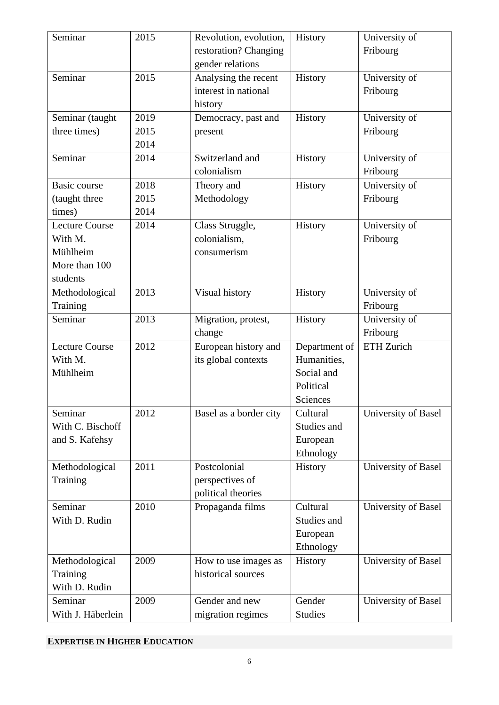| Seminar               | 2015 | Revolution, evolution, | History       | University of       |
|-----------------------|------|------------------------|---------------|---------------------|
|                       |      | restoration? Changing  |               | Fribourg            |
|                       |      | gender relations       |               |                     |
| Seminar               | 2015 | Analysing the recent   | History       | University of       |
|                       |      | interest in national   |               | Fribourg            |
|                       |      | history                |               |                     |
| Seminar (taught       | 2019 | Democracy, past and    | History       | University of       |
| three times)          | 2015 | present                |               | Fribourg            |
|                       | 2014 |                        |               |                     |
| Seminar               | 2014 | Switzerland and        | History       | University of       |
|                       |      | colonialism            |               | Fribourg            |
| <b>Basic course</b>   | 2018 | Theory and             | History       | University of       |
| (taught three         | 2015 | Methodology            |               | Fribourg            |
| times)                | 2014 |                        |               |                     |
| <b>Lecture Course</b> | 2014 | Class Struggle,        | History       | University of       |
| With M.               |      | colonialism,           |               | Fribourg            |
| Mühlheim              |      | consumerism            |               |                     |
| More than 100         |      |                        |               |                     |
| students              |      |                        |               |                     |
| Methodological        | 2013 | Visual history         | History       | University of       |
| Training              |      |                        |               | Fribourg            |
| Seminar               | 2013 | Migration, protest,    | History       | University of       |
|                       |      | change                 |               | Fribourg            |
| <b>Lecture Course</b> | 2012 | European history and   | Department of | ETH Zurich          |
| With M.               |      | its global contexts    | Humanities,   |                     |
| Mühlheim              |      |                        | Social and    |                     |
|                       |      |                        | Political     |                     |
|                       |      |                        | Sciences      |                     |
| Seminar               | 2012 | Basel as a border city | Cultural      | University of Basel |
| With C. Bischoff      |      |                        | Studies and   |                     |
| and S. Kafehsy        |      |                        | European      |                     |
|                       |      |                        | Ethnology     |                     |
| Methodological        | 2011 | Postcolonial           | History       | University of Basel |
| Training              |      | perspectives of        |               |                     |
|                       |      | political theories     |               |                     |
| Seminar               | 2010 | Propaganda films       | Cultural      | University of Basel |
| With D. Rudin         |      |                        | Studies and   |                     |
|                       |      |                        | European      |                     |
|                       |      |                        | Ethnology     |                     |
| Methodological        | 2009 | How to use images as   | History       | University of Basel |
| Training              |      | historical sources     |               |                     |
| With D. Rudin         |      |                        |               |                     |
| Seminar               |      |                        | Gender        |                     |
|                       | 2009 | Gender and new         |               | University of Basel |

**EXPERTISE IN HIGHER EDUCATION**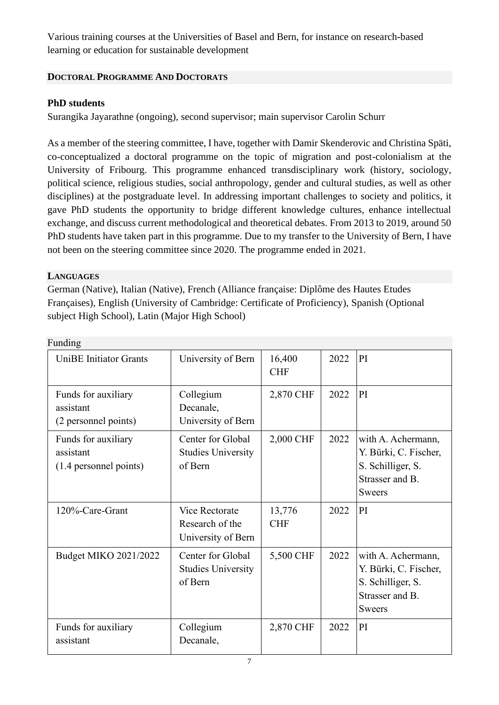Various training courses at the Universities of Basel and Bern, for instance on research-based learning or education for sustainable development

# **DOCTORAL PROGRAMME AND DOCTORATS**

# **PhD students**

Surangika Jayarathne (ongoing), second supervisor; main supervisor Carolin Schurr

As a member of the steering committee, I have, together with Damir Skenderovic and Christina Späti, co-conceptualized a doctoral programme on the topic of migration and post-colonialism at the University of Fribourg. This programme enhanced transdisciplinary work (history, sociology, political science, religious studies, social anthropology, gender and cultural studies, as well as other disciplines) at the postgraduate level. In addressing important challenges to society and politics, it gave PhD students the opportunity to bridge different knowledge cultures, enhance intellectual exchange, and discuss current methodological and theoretical debates. From 2013 to 2019, around 50 PhD students have taken part in this programme. Due to my transfer to the University of Bern, I have not been on the steering committee since 2020. The programme ended in 2021.

# **LANGUAGES**

German (Native), Italian (Native), French (Alliance française: Diplôme des Hautes Etudes Françaises), English (University of Cambridge: Certificate of Proficiency), Spanish (Optional subject High School), Latin (Major High School)

| Funding                                                    |                                                                |                      |      |                                                                                                      |
|------------------------------------------------------------|----------------------------------------------------------------|----------------------|------|------------------------------------------------------------------------------------------------------|
| <b>UniBE</b> Initiator Grants                              | University of Bern                                             | 16,400<br><b>CHF</b> | 2022 | PI                                                                                                   |
| Funds for auxiliary<br>assistant<br>(2 personnel points)   | Collegium<br>Decanale,<br>University of Bern                   | 2,870 CHF            | 2022 | PI                                                                                                   |
| Funds for auxiliary<br>assistant<br>(1.4 personnel points) | Center for Global<br><b>Studies University</b><br>of Bern      | 2,000 CHF            | 2022 | with A. Achermann,<br>Y. Bürki, C. Fischer,<br>S. Schilliger, S.<br>Strasser and B.<br><b>Sweers</b> |
| 120%-Care-Grant                                            | <b>Vice Rectorate</b><br>Research of the<br>University of Bern | 13,776<br><b>CHF</b> | 2022 | PI                                                                                                   |
| Budget MIKO 2021/2022                                      | Center for Global<br><b>Studies University</b><br>of Bern      | 5,500 CHF            | 2022 | with A. Achermann,<br>Y. Bürki, C. Fischer,<br>S. Schilliger, S.<br>Strasser and B.<br><b>Sweers</b> |
| Funds for auxiliary<br>assistant                           | Collegium<br>Decanale,                                         | 2,870 CHF            | 2022 | PI                                                                                                   |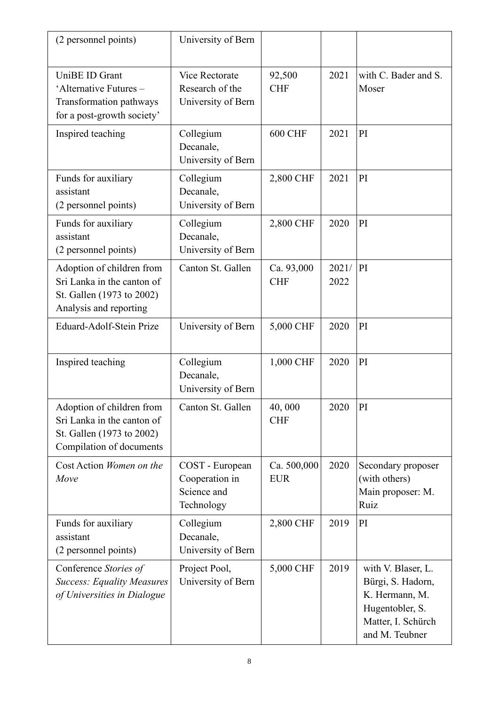| (2 personnel points)                                                                                             | University of Bern                                             |                           |               |                                                                                                                      |
|------------------------------------------------------------------------------------------------------------------|----------------------------------------------------------------|---------------------------|---------------|----------------------------------------------------------------------------------------------------------------------|
| UniBE ID Grant<br>'Alternative Futures -<br>Transformation pathways<br>for a post-growth society'                | <b>Vice Rectorate</b><br>Research of the<br>University of Bern | 92,500<br><b>CHF</b>      | 2021          | with C. Bader and S.<br>Moser                                                                                        |
| Inspired teaching                                                                                                | Collegium<br>Decanale,<br>University of Bern                   | <b>600 CHF</b>            | 2021          | PI                                                                                                                   |
| Funds for auxiliary<br>assistant<br>(2 personnel points)                                                         | Collegium<br>Decanale,<br>University of Bern                   | 2,800 CHF                 | 2021          | PI                                                                                                                   |
| Funds for auxiliary<br>assistant<br>(2 personnel points)                                                         | Collegium<br>Decanale,<br>University of Bern                   | 2,800 CHF                 | 2020          | PI                                                                                                                   |
| Adoption of children from<br>Sri Lanka in the canton of<br>St. Gallen (1973 to 2002)<br>Analysis and reporting   | Canton St. Gallen                                              | Ca. 93,000<br><b>CHF</b>  | 2021/<br>2022 | PI                                                                                                                   |
| Eduard-Adolf-Stein Prize                                                                                         | University of Bern                                             | 5,000 CHF                 | 2020          | PI                                                                                                                   |
| Inspired teaching                                                                                                | Collegium<br>Decanale,<br>University of Bern                   | 1,000 CHF                 | 2020          | PI                                                                                                                   |
| Adoption of children from<br>Sri Lanka in the canton of<br>St. Gallen (1973 to 2002)<br>Compilation of documents | Canton St. Gallen                                              | 40,000<br><b>CHF</b>      | 2020          | PI                                                                                                                   |
| Cost Action Women on the<br>Move                                                                                 | COST - European<br>Cooperation in<br>Science and<br>Technology | Ca. 500,000<br><b>EUR</b> | 2020          | Secondary proposer<br>(with others)<br>Main proposer: M.<br>Ruiz                                                     |
| Funds for auxiliary<br>assistant<br>(2 personnel points)                                                         | Collegium<br>Decanale,<br>University of Bern                   | 2,800 CHF                 | 2019          | PI                                                                                                                   |
| Conference Stories of<br><b>Success: Equality Measures</b><br>of Universities in Dialogue                        | Project Pool,<br>University of Bern                            | 5,000 CHF                 | 2019          | with V. Blaser, L.<br>Bürgi, S. Hadorn,<br>K. Hermann, M.<br>Hugentobler, S.<br>Matter, I. Schürch<br>and M. Teubner |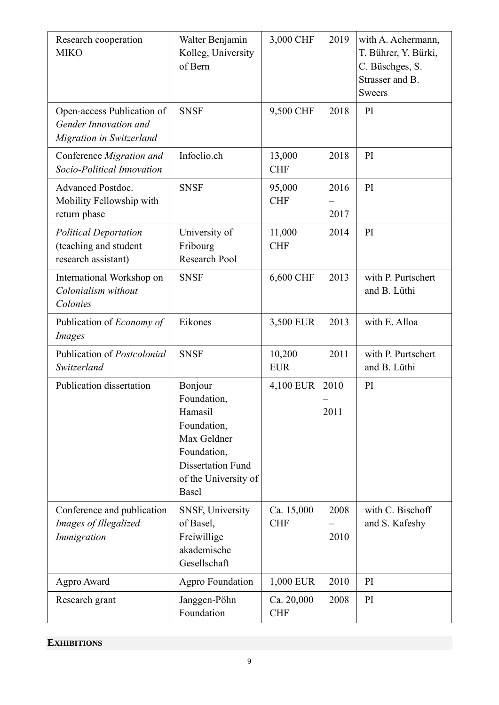| Research cooperation<br><b>MIKO</b>                                             | Walter Benjamin<br>Kolleg, University<br>of Bern                                                                                            | 3,000 CHF                | 2019         | with A. Achermann,<br>T. Bührer, Y. Bürki,<br>C. Büschges, S.<br>Strasser and B.<br><b>Sweers</b> |
|---------------------------------------------------------------------------------|---------------------------------------------------------------------------------------------------------------------------------------------|--------------------------|--------------|---------------------------------------------------------------------------------------------------|
| Open-access Publication of<br>Gender Innovation and<br>Migration in Switzerland | <b>SNSF</b>                                                                                                                                 | 9,500 CHF                | 2018         | PI                                                                                                |
| Conference Migration and<br>Socio-Political Innovation                          | Infoclio.ch                                                                                                                                 | 13,000<br><b>CHF</b>     | 2018         | PI                                                                                                |
| Advanced Postdoc.<br>Mobility Fellowship with<br>return phase                   | <b>SNSF</b>                                                                                                                                 | 95,000<br><b>CHF</b>     | 2016<br>2017 | PI                                                                                                |
| <b>Political Deportation</b><br>(teaching and student<br>research assistant)    | University of<br>Fribourg<br>Research Pool                                                                                                  | 11,000<br><b>CHF</b>     | 2014         | PI                                                                                                |
| International Workshop on<br>Colonialism without<br>Colonies                    | <b>SNSF</b>                                                                                                                                 | 6,600 CHF                | 2013         | with P. Purtschert<br>and B. Lüthi                                                                |
| Publication of <i>Economy of</i><br>Images                                      | Eikones                                                                                                                                     | 3,500 EUR                | 2013         | with E. Alloa                                                                                     |
| Publication of Postcolonial<br>Switzerland                                      | <b>SNSF</b>                                                                                                                                 | 10,200<br><b>EUR</b>     | 2011         | with P. Purtschert<br>and B. Lüthi                                                                |
| Publication dissertation                                                        | Bonjour<br>Foundation,<br>Hamasil<br>Foundation,<br>Max Geldner<br>Foundation,<br><b>Dissertation Fund</b><br>of the University of<br>Basel | 4,100 EUR                | 2010<br>2011 | PI                                                                                                |
| Conference and publication<br>Images of Illegalized<br>Immigration              | SNSF, University<br>of Basel,<br>Freiwillige<br>akademische<br>Gesellschaft                                                                 | Ca. 15,000<br><b>CHF</b> | 2008<br>2010 | with C. Bischoff<br>and S. Kafeshy                                                                |
| Agpro Award                                                                     | <b>Agpro Foundation</b>                                                                                                                     | 1,000 EUR                | 2010         | PI                                                                                                |
| Research grant                                                                  | Janggen-Pöhn<br>Foundation                                                                                                                  | Ca. 20,000<br><b>CHF</b> | 2008         | PI                                                                                                |

# **EXHIBITIONS**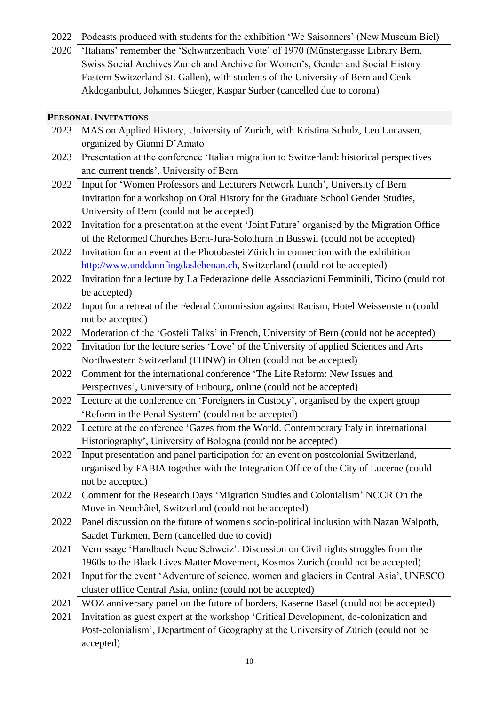2022 Podcasts produced with students for the exhibition 'We Saisonners' (New Museum Biel)

2020 'Italians' remember the 'Schwarzenbach Vote' of 1970 (Münstergasse Library Bern, Swiss Social Archives Zurich and Archive for Women's, Gender and Social History Eastern Switzerland St. Gallen), with students of the University of Bern and Cenk Akdoganbulut, Johannes Stieger, Kaspar Surber (cancelled due to corona)

2023 MAS on Applied History, University of Zurich, with Kristina Schulz, Leo Lucassen,

## **PERSONAL INVITATIONS**

accepted)

|      | organized by Gianni D'Amato                                                                     |
|------|-------------------------------------------------------------------------------------------------|
| 2023 | Presentation at the conference 'Italian migration to Switzerland: historical perspectives       |
|      | and current trends', University of Bern                                                         |
| 2022 | Input for 'Women Professors and Lecturers Network Lunch', University of Bern                    |
|      | Invitation for a workshop on Oral History for the Graduate School Gender Studies,               |
|      | University of Bern (could not be accepted)                                                      |
| 2022 | Invitation for a presentation at the event 'Joint Future' organised by the Migration Office     |
|      | of the Reformed Churches Bern-Jura-Solothurn in Busswil (could not be accepted)                 |
|      | 2022 Invitation for an event at the Photobastei Zürich in connection with the exhibition        |
|      | http://www.unddannfingdaslebenan.ch, Switzerland (could not be accepted)                        |
|      | 2022 Invitation for a lecture by La Federazione delle Associazioni Femminili, Ticino (could not |
|      | be accepted)                                                                                    |
| 2022 | Input for a retreat of the Federal Commission against Racism, Hotel Weissenstein (could         |
|      | not be accepted)                                                                                |
| 2022 | Moderation of the 'Gosteli Talks' in French, University of Bern (could not be accepted)         |
| 2022 | Invitation for the lecture series 'Love' of the University of applied Sciences and Arts         |
|      | Northwestern Switzerland (FHNW) in Olten (could not be accepted)                                |
| 2022 | Comment for the international conference 'The Life Reform: New Issues and                       |
|      | Perspectives', University of Fribourg, online (could not be accepted)                           |
| 2022 | Lecture at the conference on 'Foreigners in Custody', organised by the expert group             |
|      | 'Reform in the Penal System' (could not be accepted)                                            |
| 2022 | Lecture at the conference 'Gazes from the World. Contemporary Italy in international            |
|      | Historiography', University of Bologna (could not be accepted)                                  |
| 2022 | Input presentation and panel participation for an event on postcolonial Switzerland,            |
|      | organised by FABIA together with the Integration Office of the City of Lucerne (could           |
|      | not be accepted)                                                                                |
| 2022 | Comment for the Research Days 'Migration Studies and Colonialism' NCCR On the                   |
|      | Move in Neuchâtel, Switzerland (could not be accepted)                                          |
| 2022 | Panel discussion on the future of women's socio-political inclusion with Nazan Walpoth,         |
|      | Saadet Türkmen, Bern (cancelled due to covid)                                                   |
| 2021 | Vernissage 'Handbuch Neue Schweiz'. Discussion on Civil rights struggles from the               |
|      | 1960s to the Black Lives Matter Movement, Kosmos Zurich (could not be accepted)                 |
| 2021 | Input for the event 'Adventure of science, women and glaciers in Central Asia', UNESCO          |
|      | cluster office Central Asia, online (could not be accepted)                                     |
| 2021 | WOZ anniversary panel on the future of borders, Kaserne Basel (could not be accepted)           |
| 2021 | Invitation as guest expert at the workshop 'Critical Development, de-colonization and           |
|      | Post-colonialism', Department of Geography at the University of Zürich (could not be            |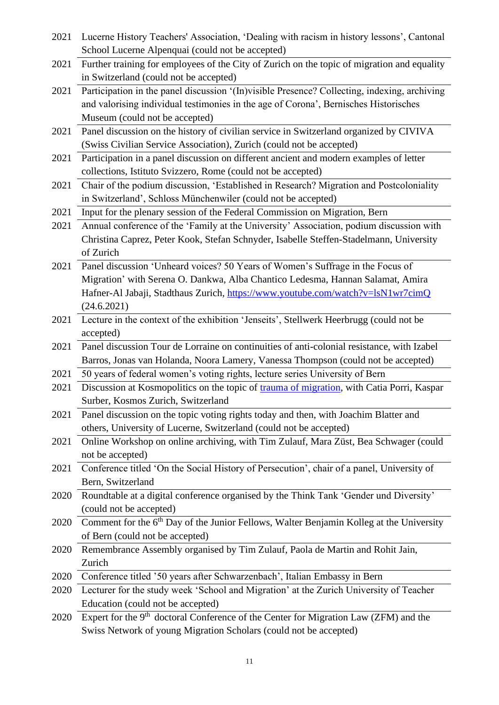| 2021 | Lucerne History Teachers' Association, 'Dealing with racism in history lessons', Cantonal           |
|------|-----------------------------------------------------------------------------------------------------|
|      | School Lucerne Alpenquai (could not be accepted)                                                    |
| 2021 | Further training for employees of the City of Zurich on the topic of migration and equality         |
|      | in Switzerland (could not be accepted)                                                              |
| 2021 | Participation in the panel discussion '(In)visible Presence? Collecting, indexing, archiving        |
|      | and valorising individual testimonies in the age of Corona', Bernisches Historisches                |
|      | Museum (could not be accepted)                                                                      |
| 2021 | Panel discussion on the history of civilian service in Switzerland organized by CIVIVA              |
|      | (Swiss Civilian Service Association), Zurich (could not be accepted)                                |
| 2021 | Participation in a panel discussion on different ancient and modern examples of letter              |
|      | collections, Istituto Svizzero, Rome (could not be accepted)                                        |
| 2021 | Chair of the podium discussion, 'Established in Research? Migration and Postcoloniality             |
|      | in Switzerland', Schloss Münchenwiler (could not be accepted)                                       |
| 2021 | Input for the plenary session of the Federal Commission on Migration, Bern                          |
| 2021 | Annual conference of the 'Family at the University' Association, podium discussion with             |
|      | Christina Caprez, Peter Kook, Stefan Schnyder, Isabelle Steffen-Stadelmann, University              |
|      | of Zurich                                                                                           |
| 2021 | Panel discussion 'Unheard voices? 50 Years of Women's Suffrage in the Focus of                      |
|      | Migration' with Serena O. Dankwa, Alba Chantico Ledesma, Hannan Salamat, Amira                      |
|      | Hafner-Al Jabaji, Stadthaus Zurich, https://www.youtube.com/watch?v=lsN1wr7cimQ                     |
|      | (24.6.2021)                                                                                         |
| 2021 | Lecture in the context of the exhibition 'Jenseits', Stellwerk Heerbrugg (could not be              |
|      | accepted)                                                                                           |
| 2021 | Panel discussion Tour de Lorraine on continuities of anti-colonial resistance, with Izabel          |
|      | Barros, Jonas van Holanda, Noora Lamery, Vanessa Thompson (could not be accepted)                   |
| 2021 | 50 years of federal women's voting rights, lecture series University of Bern                        |
| 2021 | Discussion at Kosmopolitics on the topic of trauma of migration, with Catia Porri, Kaspar           |
|      | Surber, Kosmos Zurich, Switzerland                                                                  |
| 2021 | Panel discussion on the topic voting rights today and then, with Joachim Blatter and                |
|      | others, University of Lucerne, Switzerland (could not be accepted)                                  |
| 2021 | Online Workshop on online archiving, with Tim Zulauf, Mara Züst, Bea Schwager (could                |
|      | not be accepted)                                                                                    |
| 2021 | Conference titled 'On the Social History of Persecution', chair of a panel, University of           |
|      | Bern, Switzerland                                                                                   |
| 2020 | Roundtable at a digital conference organised by the Think Tank 'Gender und Diversity'               |
|      | (could not be accepted)                                                                             |
| 2020 | Comment for the 6 <sup>th</sup> Day of the Junior Fellows, Walter Benjamin Kolleg at the University |
|      | of Bern (could not be accepted)                                                                     |
| 2020 | Remembrance Assembly organised by Tim Zulauf, Paola de Martin and Rohit Jain,                       |
|      | Zurich                                                                                              |
| 2020 | Conference titled '50 years after Schwarzenbach', Italian Embassy in Bern                           |
| 2020 | Lecturer for the study week 'School and Migration' at the Zurich University of Teacher              |
|      | Education (could not be accepted)                                                                   |
| 2020 | Expert for the 9 <sup>th</sup> doctoral Conference of the Center for Migration Law (ZFM) and the    |
|      | Swiss Network of young Migration Scholars (could not be accepted)                                   |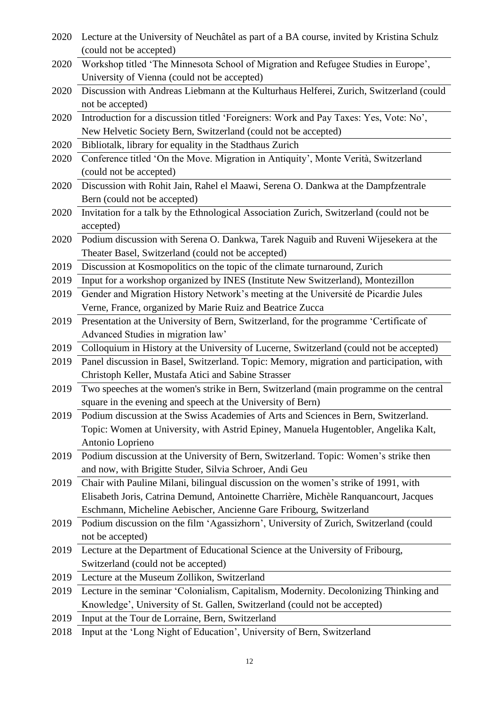| 2020 | Lecture at the University of Neuchâtel as part of a BA course, invited by Kristina Schulz |
|------|-------------------------------------------------------------------------------------------|
|      | (could not be accepted)                                                                   |
| 2020 | Workshop titled 'The Minnesota School of Migration and Refugee Studies in Europe',        |
|      | University of Vienna (could not be accepted)                                              |
| 2020 | Discussion with Andreas Liebmann at the Kulturhaus Helferei, Zurich, Switzerland (could   |
|      | not be accepted)                                                                          |
| 2020 | Introduction for a discussion titled 'Foreigners: Work and Pay Taxes: Yes, Vote: No',     |
|      | New Helvetic Society Bern, Switzerland (could not be accepted)                            |
| 2020 | Bibliotalk, library for equality in the Stadthaus Zurich                                  |
| 2020 | Conference titled 'On the Move. Migration in Antiquity', Monte Verità, Switzerland        |
|      | (could not be accepted)                                                                   |
| 2020 | Discussion with Rohit Jain, Rahel el Maawi, Serena O. Dankwa at the Dampfzentrale         |
|      | Bern (could not be accepted)                                                              |
| 2020 | Invitation for a talk by the Ethnological Association Zurich, Switzerland (could not be   |
|      | accepted)                                                                                 |
| 2020 | Podium discussion with Serena O. Dankwa, Tarek Naguib and Ruveni Wijesekera at the        |
|      | Theater Basel, Switzerland (could not be accepted)                                        |
| 2019 | Discussion at Kosmopolitics on the topic of the climate turnaround, Zurich                |
| 2019 | Input for a workshop organized by INES (Institute New Switzerland), Montezillon           |
| 2019 | Gender and Migration History Network's meeting at the Université de Picardie Jules        |
|      | Verne, France, organized by Marie Ruiz and Beatrice Zucca                                 |
| 2019 | Presentation at the University of Bern, Switzerland, for the programme 'Certificate of    |
|      | Advanced Studies in migration law'                                                        |
| 2019 | Colloquium in History at the University of Lucerne, Switzerland (could not be accepted)   |
| 2019 | Panel discussion in Basel, Switzerland. Topic: Memory, migration and participation, with  |
|      | Christoph Keller, Mustafa Atici and Sabine Strasser                                       |
| 2019 | Two speeches at the women's strike in Bern, Switzerland (main programme on the central    |
|      | square in the evening and speech at the University of Bern)                               |
| 2019 | Podium discussion at the Swiss Academies of Arts and Sciences in Bern, Switzerland.       |
|      | Topic: Women at University, with Astrid Epiney, Manuela Hugentobler, Angelika Kalt,       |
|      | Antonio Loprieno                                                                          |
| 2019 | Podium discussion at the University of Bern, Switzerland. Topic: Women's strike then      |
|      | and now, with Brigitte Studer, Silvia Schroer, Andi Geu                                   |
| 2019 | Chair with Pauline Milani, bilingual discussion on the women's strike of 1991, with       |
|      | Elisabeth Joris, Catrina Demund, Antoinette Charrière, Michèle Ranquancourt, Jacques      |
|      | Eschmann, Micheline Aebischer, Ancienne Gare Fribourg, Switzerland                        |
| 2019 | Podium discussion on the film 'Agassizhorn', University of Zurich, Switzerland (could     |
|      | not be accepted)                                                                          |
| 2019 | Lecture at the Department of Educational Science at the University of Fribourg,           |
|      | Switzerland (could not be accepted)                                                       |
| 2019 | Lecture at the Museum Zollikon, Switzerland                                               |
| 2019 | Lecture in the seminar 'Colonialism, Capitalism, Modernity. Decolonizing Thinking and     |
|      | Knowledge', University of St. Gallen, Switzerland (could not be accepted)                 |
| 2019 | Input at the Tour de Lorraine, Bern, Switzerland                                          |
|      |                                                                                           |

2018 Input at the 'Long Night of Education', University of Bern, Switzerland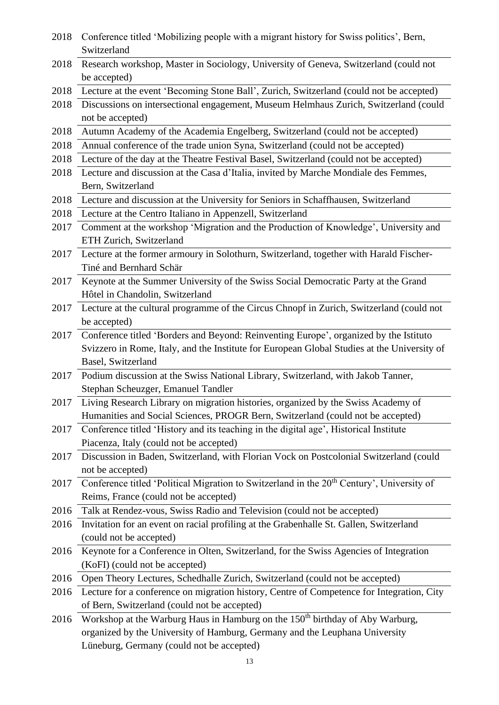| 2018 | Conference titled 'Mobilizing people with a migrant history for Swiss politics', Bern,                |
|------|-------------------------------------------------------------------------------------------------------|
|      | Switzerland                                                                                           |
| 2018 | Research workshop, Master in Sociology, University of Geneva, Switzerland (could not                  |
|      | be accepted)                                                                                          |
| 2018 | Lecture at the event 'Becoming Stone Ball', Zurich, Switzerland (could not be accepted)               |
| 2018 | Discussions on intersectional engagement, Museum Helmhaus Zurich, Switzerland (could                  |
|      | not be accepted)                                                                                      |
| 2018 | Autumn Academy of the Academia Engelberg, Switzerland (could not be accepted)                         |
| 2018 | Annual conference of the trade union Syna, Switzerland (could not be accepted)                        |
| 2018 | Lecture of the day at the Theatre Festival Basel, Switzerland (could not be accepted)                 |
| 2018 | Lecture and discussion at the Casa d'Italia, invited by Marche Mondiale des Femmes,                   |
|      | Bern, Switzerland                                                                                     |
| 2018 | Lecture and discussion at the University for Seniors in Schaffhausen, Switzerland                     |
| 2018 | Lecture at the Centro Italiano in Appenzell, Switzerland                                              |
| 2017 | Comment at the workshop 'Migration and the Production of Knowledge', University and                   |
|      | ETH Zurich, Switzerland                                                                               |
| 2017 | Lecture at the former armoury in Solothurn, Switzerland, together with Harald Fischer-                |
|      | Tiné and Bernhard Schär                                                                               |
| 2017 | Keynote at the Summer University of the Swiss Social Democratic Party at the Grand                    |
|      | Hôtel in Chandolin, Switzerland                                                                       |
| 2017 | Lecture at the cultural programme of the Circus Chnopf in Zurich, Switzerland (could not              |
|      | be accepted)                                                                                          |
| 2017 | Conference titled 'Borders and Beyond: Reinventing Europe', organized by the Istituto                 |
|      | Svizzero in Rome, Italy, and the Institute for European Global Studies at the University of           |
|      | Basel, Switzerland                                                                                    |
| 2017 | Podium discussion at the Swiss National Library, Switzerland, with Jakob Tanner,                      |
|      | Stephan Scheuzger, Emanuel Tandler                                                                    |
| 2017 | Living Research Library on migration histories, organized by the Swiss Academy of                     |
|      | Humanities and Social Sciences, PROGR Bern, Switzerland (could not be accepted)                       |
| 2017 | Conference titled 'History and its teaching in the digital age', Historical Institute                 |
|      | Piacenza, Italy (could not be accepted)                                                               |
| 2017 | Discussion in Baden, Switzerland, with Florian Vock on Postcolonial Switzerland (could                |
|      | not be accepted)                                                                                      |
| 2017 | Conference titled 'Political Migration to Switzerland in the 20 <sup>th</sup> Century', University of |
|      | Reims, France (could not be accepted)                                                                 |
| 2016 | Talk at Rendez-vous, Swiss Radio and Television (could not be accepted)                               |
| 2016 | Invitation for an event on racial profiling at the Grabenhalle St. Gallen, Switzerland                |
|      | (could not be accepted)                                                                               |
| 2016 | Keynote for a Conference in Olten, Switzerland, for the Swiss Agencies of Integration                 |
|      | (KoFI) (could not be accepted)                                                                        |
| 2016 | Open Theory Lectures, Schedhalle Zurich, Switzerland (could not be accepted)                          |
| 2016 | Lecture for a conference on migration history, Centre of Competence for Integration, City             |
|      | of Bern, Switzerland (could not be accepted)                                                          |
| 2016 | Workshop at the Warburg Haus in Hamburg on the 150 <sup>th</sup> birthday of Aby Warburg,             |
|      | organized by the University of Hamburg, Germany and the Leuphana University                           |
|      | Lüneburg, Germany (could not be accepted)                                                             |
|      | 13                                                                                                    |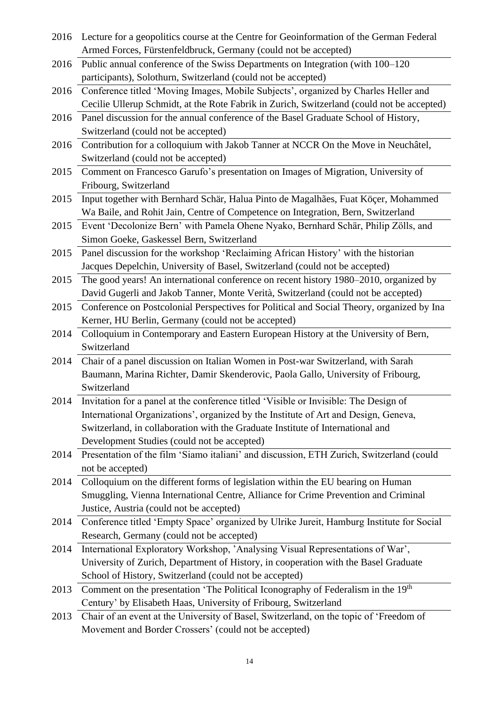| 2016 | Lecture for a geopolitics course at the Centre for Geoinformation of the German Federal                                                                         |
|------|-----------------------------------------------------------------------------------------------------------------------------------------------------------------|
|      | Armed Forces, Fürstenfeldbruck, Germany (could not be accepted)                                                                                                 |
| 2016 | Public annual conference of the Swiss Departments on Integration (with 100–120)                                                                                 |
|      | participants), Solothurn, Switzerland (could not be accepted)                                                                                                   |
| 2016 | Conference titled 'Moving Images, Mobile Subjects', organized by Charles Heller and                                                                             |
|      | Cecilie Ullerup Schmidt, at the Rote Fabrik in Zurich, Switzerland (could not be accepted)                                                                      |
| 2016 | Panel discussion for the annual conference of the Basel Graduate School of History,                                                                             |
|      | Switzerland (could not be accepted)                                                                                                                             |
| 2016 | Contribution for a colloquium with Jakob Tanner at NCCR On the Move in Neuchâtel,                                                                               |
|      | Switzerland (could not be accepted)                                                                                                                             |
| 2015 | Comment on Francesco Garufo's presentation on Images of Migration, University of                                                                                |
|      | Fribourg, Switzerland                                                                                                                                           |
| 2015 | Input together with Bernhard Schär, Halua Pinto de Magalhães, Fuat Köçer, Mohammed                                                                              |
|      | Wa Baile, and Rohit Jain, Centre of Competence on Integration, Bern, Switzerland                                                                                |
| 2015 | Event 'Decolonize Bern' with Pamela Ohene Nyako, Bernhard Schär, Philip Zölls, and                                                                              |
|      | Simon Goeke, Gaskessel Bern, Switzerland                                                                                                                        |
| 2015 | Panel discussion for the workshop 'Reclaiming African History' with the historian                                                                               |
|      | Jacques Depelchin, University of Basel, Switzerland (could not be accepted)                                                                                     |
| 2015 | The good years! An international conference on recent history 1980–2010, organized by                                                                           |
|      | David Gugerli and Jakob Tanner, Monte Verità, Switzerland (could not be accepted)                                                                               |
| 2015 | Conference on Postcolonial Perspectives for Political and Social Theory, organized by Ina                                                                       |
|      | Kerner, HU Berlin, Germany (could not be accepted)                                                                                                              |
| 2014 | Colloquium in Contemporary and Eastern European History at the University of Bern,                                                                              |
|      | Switzerland                                                                                                                                                     |
| 2014 | Chair of a panel discussion on Italian Women in Post-war Switzerland, with Sarah                                                                                |
|      | Baumann, Marina Richter, Damir Skenderovic, Paola Gallo, University of Fribourg,                                                                                |
|      | Switzerland                                                                                                                                                     |
| 2014 | Invitation for a panel at the conference titled 'Visible or Invisible: The Design of                                                                            |
|      | International Organizations', organized by the Institute of Art and Design, Geneva,                                                                             |
|      | Switzerland, in collaboration with the Graduate Institute of International and                                                                                  |
|      | Development Studies (could not be accepted)                                                                                                                     |
| 2014 | Presentation of the film 'Siamo italiani' and discussion, ETH Zurich, Switzerland (could                                                                        |
|      | not be accepted)                                                                                                                                                |
| 2014 | Colloquium on the different forms of legislation within the EU bearing on Human                                                                                 |
|      | Smuggling, Vienna International Centre, Alliance for Crime Prevention and Criminal                                                                              |
|      | Justice, Austria (could not be accepted)                                                                                                                        |
| 2014 | Conference titled 'Empty Space' organized by Ulrike Jureit, Hamburg Institute for Social                                                                        |
|      | Research, Germany (could not be accepted)                                                                                                                       |
| 2014 | International Exploratory Workshop, 'Analysing Visual Representations of War',                                                                                  |
|      | University of Zurich, Department of History, in cooperation with the Basel Graduate                                                                             |
|      | School of History, Switzerland (could not be accepted)                                                                                                          |
| 2013 | Comment on the presentation 'The Political Iconography of Federalism in the 19 <sup>th</sup><br>Century' by Elisabeth Haas, University of Fribourg, Switzerland |
|      |                                                                                                                                                                 |
| 2013 | Chair of an event at the University of Basel, Switzerland, on the topic of 'Freedom of                                                                          |
|      | Movement and Border Crossers' (could not be accepted)                                                                                                           |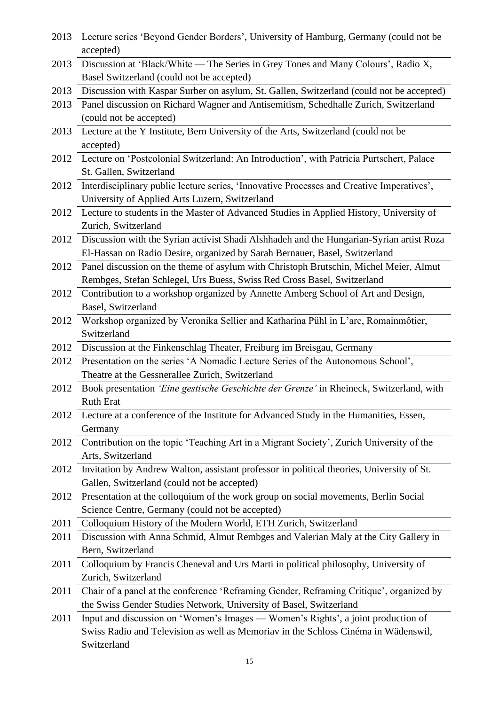| 2013 | Lecture series 'Beyond Gender Borders', University of Hamburg, Germany (could not be<br>accepted) |
|------|---------------------------------------------------------------------------------------------------|
| 2013 | Discussion at 'Black/White — The Series in Grey Tones and Many Colours', Radio X,                 |
|      | Basel Switzerland (could not be accepted)                                                         |
| 2013 | Discussion with Kaspar Surber on asylum, St. Gallen, Switzerland (could not be accepted)          |
| 2013 | Panel discussion on Richard Wagner and Antisemitism, Schedhalle Zurich, Switzerland               |
|      | (could not be accepted)                                                                           |
| 2013 | Lecture at the Y Institute, Bern University of the Arts, Switzerland (could not be                |
|      | accepted)                                                                                         |
| 2012 | Lecture on 'Postcolonial Switzerland: An Introduction', with Patricia Purtschert, Palace          |
|      | St. Gallen, Switzerland                                                                           |
| 2012 | Interdisciplinary public lecture series, 'Innovative Processes and Creative Imperatives',         |
|      | University of Applied Arts Luzern, Switzerland                                                    |
| 2012 | Lecture to students in the Master of Advanced Studies in Applied History, University of           |
|      | Zurich, Switzerland                                                                               |
| 2012 | Discussion with the Syrian activist Shadi Alshhadeh and the Hungarian-Syrian artist Roza          |
|      | El-Hassan on Radio Desire, organized by Sarah Bernauer, Basel, Switzerland                        |
| 2012 | Panel discussion on the theme of asylum with Christoph Brutschin, Michel Meier, Almut             |
|      | Rembges, Stefan Schlegel, Urs Buess, Swiss Red Cross Basel, Switzerland                           |
| 2012 | Contribution to a workshop organized by Annette Amberg School of Art and Design,                  |
|      | Basel, Switzerland                                                                                |
| 2012 | Workshop organized by Veronika Sellier and Katharina Pühl in L'arc, Romainmôtier,                 |
|      | Switzerland                                                                                       |
| 2012 | Discussion at the Finkenschlag Theater, Freiburg im Breisgau, Germany                             |
| 2012 | Presentation on the series 'A Nomadic Lecture Series of the Autonomous School',                   |
|      | Theatre at the Gessnerallee Zurich, Switzerland                                                   |
| 2012 | Book presentation 'Eine gestische Geschichte der Grenze' in Rheineck, Switzerland, with           |
|      | <b>Ruth Erat</b>                                                                                  |
| 2012 | Lecture at a conference of the Institute for Advanced Study in the Humanities, Essen,             |
|      | Germany                                                                                           |
| 2012 | Contribution on the topic 'Teaching Art in a Migrant Society', Zurich University of the           |
|      | Arts, Switzerland                                                                                 |
| 2012 | Invitation by Andrew Walton, assistant professor in political theories, University of St.         |
|      | Gallen, Switzerland (could not be accepted)                                                       |
| 2012 | Presentation at the colloquium of the work group on social movements, Berlin Social               |
|      | Science Centre, Germany (could not be accepted)                                                   |
| 2011 | Colloquium History of the Modern World, ETH Zurich, Switzerland                                   |
| 2011 | Discussion with Anna Schmid, Almut Rembges and Valerian Maly at the City Gallery in               |
|      | Bern, Switzerland                                                                                 |
| 2011 | Colloquium by Francis Cheneval and Urs Marti in political philosophy, University of               |
|      | Zurich, Switzerland                                                                               |
| 2011 | Chair of a panel at the conference 'Reframing Gender, Reframing Critique', organized by           |
|      | the Swiss Gender Studies Network, University of Basel, Switzerland                                |
| 2011 | Input and discussion on 'Women's Images - Women's Rights', a joint production of                  |
|      | Swiss Radio and Television as well as Memoriav in the Schloss Cinéma in Wädenswil,                |
|      | Switzerland                                                                                       |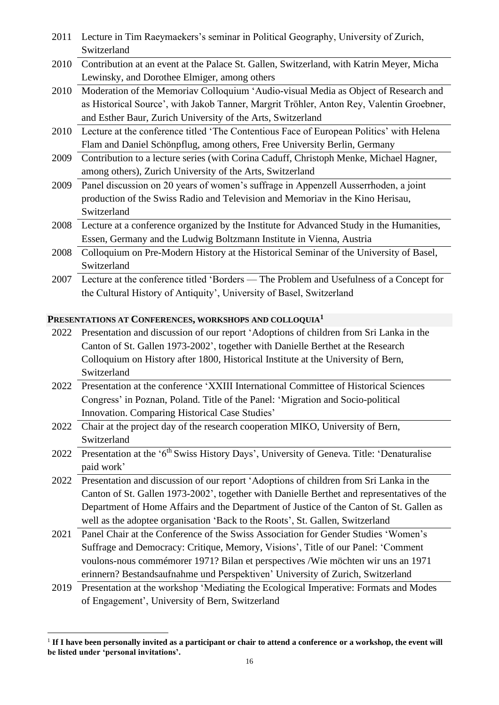| 2011 | Lecture in Tim Raeymaekers's seminar in Political Geography, University of Zurich,                                                       |
|------|------------------------------------------------------------------------------------------------------------------------------------------|
|      | Switzerland                                                                                                                              |
| 2010 | Contribution at an event at the Palace St. Gallen, Switzerland, with Katrin Meyer, Micha<br>Lewinsky, and Dorothee Elmiger, among others |
| 2010 | Moderation of the Memoriav Colloquium 'Audio-visual Media as Object of Research and                                                      |
|      | as Historical Source', with Jakob Tanner, Margrit Tröhler, Anton Rey, Valentin Groebner,                                                 |
|      | and Esther Baur, Zurich University of the Arts, Switzerland                                                                              |
| 2010 | Lecture at the conference titled 'The Contentious Face of European Politics' with Helena                                                 |
|      | Flam and Daniel Schönpflug, among others, Free University Berlin, Germany                                                                |
| 2009 | Contribution to a lecture series (with Corina Caduff, Christoph Menke, Michael Hagner,                                                   |
|      | among others), Zurich University of the Arts, Switzerland                                                                                |
| 2009 | Panel discussion on 20 years of women's suffrage in Appenzell Ausserrhoden, a joint                                                      |
|      | production of the Swiss Radio and Television and Memoriav in the Kino Herisau,                                                           |
|      | Switzerland                                                                                                                              |
| 2008 | Lecture at a conference organized by the Institute for Advanced Study in the Humanities,                                                 |
|      | Essen, Germany and the Ludwig Boltzmann Institute in Vienna, Austria                                                                     |
| 2008 | Colloquium on Pre-Modern History at the Historical Seminar of the University of Basel,                                                   |
|      | Switzerland                                                                                                                              |
| 2007 | Lecture at the conference titled 'Borders — The Problem and Usefulness of a Concept for                                                  |
|      | the Cultural History of Antiquity', University of Basel, Switzerland                                                                     |
|      |                                                                                                                                          |
|      | PRESENTATIONS AT CONFERENCES, WORKSHOPS AND COLLOQUIA <sup>1</sup>                                                                       |
| 2022 | Presentation and discussion of our report 'Adoptions of children from Sri Lanka in the                                                   |
|      | Canton of St. Gallen 1973-2002', together with Danielle Berthet at the Research                                                          |
|      | Colloquium on History after 1800, Historical Institute at the University of Bern,                                                        |
|      | Switzerland                                                                                                                              |
| 2022 | Presentation at the conference 'XXIII International Committee of Historical Sciences                                                     |
|      | Congress' in Poznan, Poland. Title of the Panel: 'Migration and Socio-political                                                          |
|      | Innovation. Comparing Historical Case Studies'                                                                                           |
| 2022 | Chair at the project day of the research cooperation MIKO, University of Bern,                                                           |
|      | Switzerland                                                                                                                              |
| 2022 | Presentation at the '6 <sup>th</sup> Swiss History Days', University of Geneva. Title: 'Denaturalise                                     |
|      | paid work'                                                                                                                               |
| 2022 | Presentation and discussion of our report 'Adoptions of children from Sri Lanka in the                                                   |
|      | Canton of St. Gallen 1973-2002', together with Danielle Berthet and representatives of the                                               |
|      | Department of Home Affairs and the Department of Justice of the Canton of St. Gallen as                                                  |
|      | well as the adoptee organisation 'Back to the Roots', St. Gallen, Switzerland                                                            |
| 2021 | Panel Chair at the Conference of the Swiss Association for Gender Studies 'Women's                                                       |
|      | Suffrage and Democracy: Critique, Memory, Visions', Title of our Panel: 'Comment                                                         |
|      | voulons-nous commémorer 1971? Bilan et perspectives /Wie möchten wir uns an 1971                                                         |
|      |                                                                                                                                          |
|      | erinnern? Bestandsaufnahme und Perspektiven' University of Zurich, Switzerland                                                           |
| 2019 | Presentation at the workshop 'Mediating the Ecological Imperative: Formats and Modes<br>of Engagement', University of Bern, Switzerland  |

<sup>1</sup> **If I have been personally invited as a participant or chair to attend a conference or a workshop, the event will be listed under 'personal invitations'.**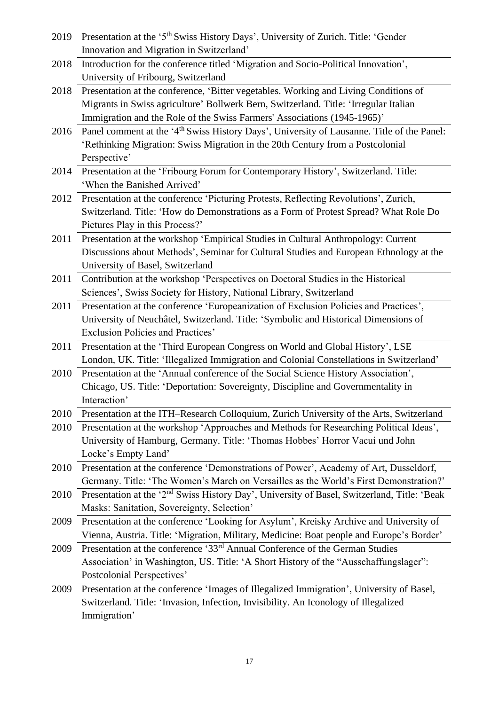| 2019 | Presentation at the '5 <sup>th</sup> Swiss History Days', University of Zurich. Title: 'Gender          |
|------|---------------------------------------------------------------------------------------------------------|
|      | Innovation and Migration in Switzerland'                                                                |
| 2018 | Introduction for the conference titled 'Migration and Socio-Political Innovation',                      |
|      | University of Fribourg, Switzerland                                                                     |
| 2018 | Presentation at the conference, 'Bitter vegetables. Working and Living Conditions of                    |
|      | Migrants in Swiss agriculture' Bollwerk Bern, Switzerland. Title: 'Irregular Italian                    |
|      | Immigration and the Role of the Swiss Farmers' Associations (1945-1965)'                                |
| 2016 | Panel comment at the '4 <sup>th</sup> Swiss History Days', University of Lausanne. Title of the Panel:  |
|      | 'Rethinking Migration: Swiss Migration in the 20th Century from a Postcolonial                          |
|      | Perspective'                                                                                            |
|      | 2014 Presentation at the 'Fribourg Forum for Contemporary History', Switzerland. Title:                 |
|      | 'When the Banished Arrived'                                                                             |
| 2012 | Presentation at the conference 'Picturing Protests, Reflecting Revolutions', Zurich,                    |
|      | Switzerland. Title: 'How do Demonstrations as a Form of Protest Spread? What Role Do                    |
|      | Pictures Play in this Process?'                                                                         |
| 2011 | Presentation at the workshop 'Empirical Studies in Cultural Anthropology: Current                       |
|      | Discussions about Methods', Seminar for Cultural Studies and European Ethnology at the                  |
|      | University of Basel, Switzerland                                                                        |
| 2011 | Contribution at the workshop 'Perspectives on Doctoral Studies in the Historical                        |
|      | Sciences', Swiss Society for History, National Library, Switzerland                                     |
| 2011 | Presentation at the conference 'Europeanization of Exclusion Policies and Practices',                   |
|      | University of Neuchâtel, Switzerland. Title: 'Symbolic and Historical Dimensions of                     |
|      | Exclusion Policies and Practices'                                                                       |
| 2011 | Presentation at the 'Third European Congress on World and Global History', LSE                          |
|      | London, UK. Title: 'Illegalized Immigration and Colonial Constellations in Switzerland'                 |
| 2010 | Presentation at the 'Annual conference of the Social Science History Association',                      |
|      | Chicago, US. Title: 'Deportation: Sovereignty, Discipline and Governmentality in                        |
|      | Interaction'                                                                                            |
| 2010 | Presentation at the ITH-Research Colloquium, Zurich University of the Arts, Switzerland                 |
| 2010 | Presentation at the workshop 'Approaches and Methods for Researching Political Ideas',                  |
|      | University of Hamburg, Germany. Title: 'Thomas Hobbes' Horror Vacui und John                            |
|      | Locke's Empty Land'                                                                                     |
| 2010 | Presentation at the conference 'Demonstrations of Power', Academy of Art, Dusseldorf,                   |
|      | Germany. Title: 'The Women's March on Versailles as the World's First Demonstration?'                   |
| 2010 | Presentation at the '2 <sup>nd</sup> Swiss History Day', University of Basel, Switzerland, Title: 'Beak |
|      | Masks: Sanitation, Sovereignty, Selection'                                                              |
| 2009 | Presentation at the conference 'Looking for Asylum', Kreisky Archive and University of                  |
|      | Vienna, Austria. Title: 'Migration, Military, Medicine: Boat people and Europe's Border'                |
| 2009 | Presentation at the conference '33 <sup>rd</sup> Annual Conference of the German Studies                |
|      | Association' in Washington, US. Title: 'A Short History of the "Ausschaffungslager":                    |
|      | Postcolonial Perspectives'                                                                              |
| 2009 | Presentation at the conference 'Images of Illegalized Immigration', University of Basel,                |
|      | Switzerland. Title: 'Invasion, Infection, Invisibility. An Iconology of Illegalized                     |
|      | Immigration'                                                                                            |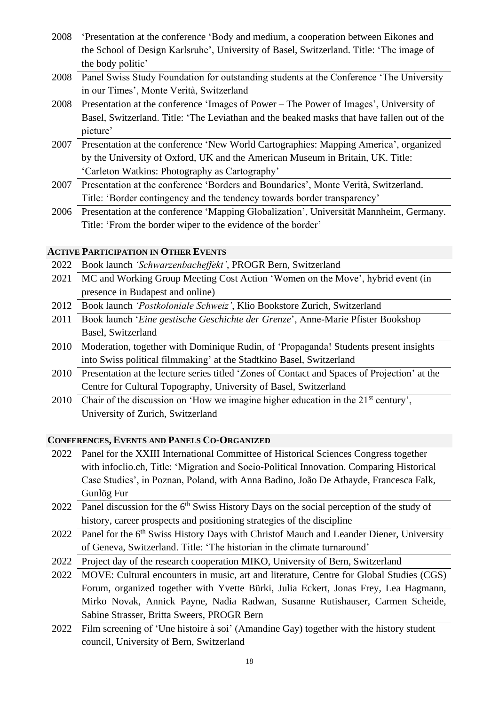- 2008 'Presentation at the conference 'Body and medium, a cooperation between Eikones and the School of Design Karlsruhe', University of Basel, Switzerland. Title: 'The image of the body politic'
- 2008 Panel Swiss Study Foundation for outstanding students at the Conference 'The University in our Times', Monte Verità, Switzerland
- 2008 Presentation at the conference 'Images of Power The Power of Images', University of Basel, Switzerland. Title: 'The Leviathan and the beaked masks that have fallen out of the picture'
- 2007 Presentation at the conference 'New World Cartographies: Mapping America', organized by the University of Oxford, UK and the American Museum in Britain, UK. Title: 'Carleton Watkins: Photography as Cartography'
- 2007 Presentation at the conference 'Borders and Boundaries', Monte Verità, Switzerland. Title: 'Border contingency and the tendency towards border transparency'
- 2006 Presentation at the conference 'Mapping Globalization', Universität Mannheim, Germany. Title: 'From the border wiper to the evidence of the border'

## **ACTIVE PARTICIPATION IN OTHER EVENTS**

- 2022 Book launch *'Schwarzenbacheffekt'*, PROGR Bern, Switzerland
- 2021 MC and Working Group Meeting Cost Action 'Women on the Move', hybrid event (in presence in Budapest and online)
- 2012 Book launch *'Postkoloniale Schweiz'*, Klio Bookstore Zurich, Switzerland
- 2011 Book launch '*Eine gestische Geschichte der Grenze*', Anne-Marie Pfister Bookshop Basel, Switzerland
- 2010 Moderation, together with Dominique Rudin, of 'Propaganda! Students present insights into Swiss political filmmaking' at the Stadtkino Basel, Switzerland
- 2010 Presentation at the lecture series titled 'Zones of Contact and Spaces of Projection' at the Centre for Cultural Topography, University of Basel, Switzerland
- 2010 Chair of the discussion on 'How we imagine higher education in the 21<sup>st</sup> century', University of Zurich, Switzerland

## **CONFERENCES, EVENTS AND PANELS CO-ORGANIZED**

- 2022 Panel for the XXIII International Committee of Historical Sciences Congress together with infoclio.ch, Title: 'Migration and Socio-Political Innovation. Comparing Historical Case Studies', in Poznan, Poland, with Anna Badino, João De Athayde, Francesca Falk, Gunlög Fur
- 2022 Panel discussion for the  $6<sup>th</sup>$  Swiss History Days on the social perception of the study of history, career prospects and positioning strategies of the discipline
- 2022 Panel for the 6<sup>th</sup> Swiss History Days with Christof Mauch and Leander Diener, University of Geneva, Switzerland. Title: 'The historian in the climate turnaround'
- 2022 Project day of the research cooperation MIKO, University of Bern, Switzerland
- 2022 MOVE: Cultural encounters in music, art and literature, Centre for Global Studies (CGS) Forum, organized together with Yvette Bürki, Julia Eckert, Jonas Frey, Lea Hagmann, Mirko Novak, Annick Payne, Nadia Radwan, Susanne Rutishauser, Carmen Scheide, Sabine Strasser, Britta Sweers, PROGR Bern
- 2022 Film screening of 'Une histoire à soi' (Amandine Gay) together with the history student council, University of Bern, Switzerland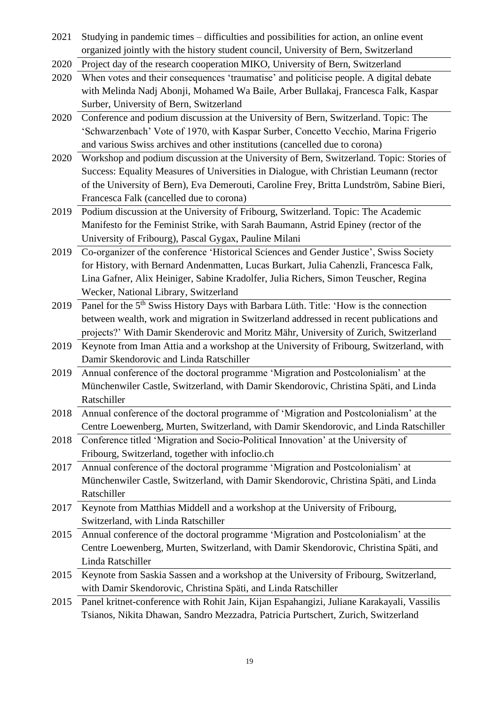- 2021 Studying in pandemic times difficulties and possibilities for action, an online event organized jointly with the history student council, University of Bern, Switzerland
- 2020 Project day of the research cooperation MIKO, University of Bern, Switzerland
- 2020 When votes and their consequences 'traumatise' and politicise people. A digital debate with Melinda Nadj Abonji, Mohamed Wa Baile, Arber Bullakaj, Francesca Falk, Kaspar Surber, University of Bern, Switzerland
- 2020 Conference and podium discussion at the University of Bern, Switzerland. Topic: The 'Schwarzenbach' Vote of 1970, with Kaspar Surber, Concetto Vecchio, Marina Frigerio and various Swiss archives and other institutions (cancelled due to corona)
- 2020 Workshop and podium discussion at the University of Bern, Switzerland. Topic: Stories of Success: Equality Measures of Universities in Dialogue*,* with Christian Leumann (rector of the University of Bern), Eva Demerouti, Caroline Frey, Britta Lundström, Sabine Bieri, Francesca Falk (cancelled due to corona)
- 2019 Podium discussion at the University of Fribourg, Switzerland. Topic: The Academic Manifesto for the Feminist Strike, with Sarah Baumann, Astrid Epiney (rector of the University of Fribourg), Pascal Gygax, Pauline Milani
- 2019 Co-organizer of the conference 'Historical Sciences and Gender Justice', Swiss Society for History, with Bernard Andenmatten, Lucas Burkart, Julia Cahenzli, Francesca Falk, Lina Gafner, Alix Heiniger, Sabine Kradolfer, Julia Richers, Simon Teuscher, Regina Wecker, National Library, Switzerland
- 2019 Panel for the 5<sup>th</sup> Swiss History Days with Barbara Lüth. Title: 'How is the connection between wealth, work and migration in Switzerland addressed in recent publications and projects?' With Damir Skenderovic and Moritz Mähr, University of Zurich, Switzerland
- 2019 Keynote from Iman Attia and a workshop at the University of Fribourg, Switzerland, with Damir Skendorovic and Linda Ratschiller
- 2019 Annual conference of the doctoral programme 'Migration and Postcolonialism' at the Münchenwiler Castle, Switzerland, with Damir Skendorovic, Christina Späti, and Linda Ratschiller
- 2018 Annual conference of the doctoral programme of 'Migration and Postcolonialism' at the Centre Loewenberg, Murten, Switzerland, with Damir Skendorovic, and Linda Ratschiller
- 2018 Conference titled 'Migration and Socio-Political Innovation' at the University of Fribourg, Switzerland, together with infoclio.ch
- 2017 Annual conference of the doctoral programme 'Migration and Postcolonialism' at Münchenwiler Castle, Switzerland, with Damir Skendorovic, Christina Späti, and Linda Ratschiller
- 2017 Keynote from Matthias Middell and a workshop at the University of Fribourg, Switzerland, with Linda Ratschiller
- 2015 Annual conference of the doctoral programme 'Migration and Postcolonialism' at the Centre Loewenberg, Murten, Switzerland, with Damir Skendorovic, Christina Späti, and Linda Ratschiller
- 2015 Keynote from Saskia Sassen and a workshop at the University of Fribourg, Switzerland, with Damir Skendorovic, Christina Späti, and Linda Ratschiller
- 2015 Panel kritnet-conference with Rohit Jain, Kijan Espahangizi, Juliane Karakayali, Vassilis Tsianos, Nikita Dhawan, Sandro Mezzadra, Patricia Purtschert, Zurich, Switzerland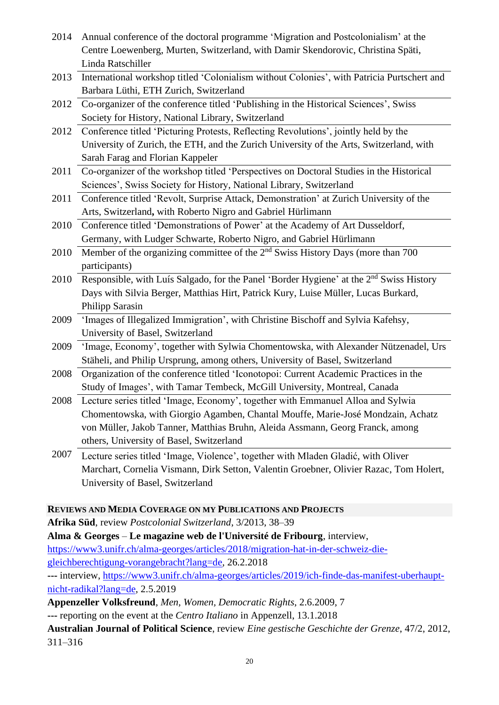| 2014 | Annual conference of the doctoral programme 'Migration and Postcolonialism' at the<br>Centre Loewenberg, Murten, Switzerland, with Damir Skendorovic, Christina Späti,                                                                                                                          |
|------|-------------------------------------------------------------------------------------------------------------------------------------------------------------------------------------------------------------------------------------------------------------------------------------------------|
| 2013 | Linda Ratschiller<br>International workshop titled 'Colonialism without Colonies', with Patricia Purtschert and<br>Barbara Lüthi, ETH Zurich, Switzerland                                                                                                                                       |
| 2012 | Co-organizer of the conference titled 'Publishing in the Historical Sciences', Swiss<br>Society for History, National Library, Switzerland                                                                                                                                                      |
| 2012 | Conference titled 'Picturing Protests, Reflecting Revolutions', jointly held by the<br>University of Zurich, the ETH, and the Zurich University of the Arts, Switzerland, with<br>Sarah Farag and Florian Kappeler                                                                              |
| 2011 | Co-organizer of the workshop titled 'Perspectives on Doctoral Studies in the Historical<br>Sciences', Swiss Society for History, National Library, Switzerland                                                                                                                                  |
| 2011 | Conference titled 'Revolt, Surprise Attack, Demonstration' at Zurich University of the<br>Arts, Switzerland, with Roberto Nigro and Gabriel Hürlimann                                                                                                                                           |
| 2010 | Conference titled 'Demonstrations of Power' at the Academy of Art Dusseldorf,<br>Germany, with Ludger Schwarte, Roberto Nigro, and Gabriel Hürlimann                                                                                                                                            |
| 2010 | Member of the organizing committee of the 2 <sup>nd</sup> Swiss History Days (more than 700<br>participants)                                                                                                                                                                                    |
| 2010 | Responsible, with Luís Salgado, for the Panel 'Border Hygiene' at the 2 <sup>nd</sup> Swiss History<br>Days with Silvia Berger, Matthias Hirt, Patrick Kury, Luise Müller, Lucas Burkard,<br>Philipp Sarasin                                                                                    |
| 2009 | 'Images of Illegalized Immigration', with Christine Bischoff and Sylvia Kafehsy,<br>University of Basel, Switzerland                                                                                                                                                                            |
| 2009 | 'Image, Economy', together with Sylwia Chomentowska, with Alexander Nützenadel, Urs<br>Stäheli, and Philip Ursprung, among others, University of Basel, Switzerland                                                                                                                             |
| 2008 | Organization of the conference titled 'Iconotopoi: Current Academic Practices in the<br>Study of Images', with Tamar Tembeck, McGill University, Montreal, Canada                                                                                                                               |
| 2008 | Lecture series titled 'Image, Economy', together with Emmanuel Alloa and Sylwia<br>Chomentowska, with Giorgio Agamben, Chantal Mouffe, Marie-José Mondzain, Achatz<br>von Müller, Jakob Tanner, Matthias Bruhn, Aleida Assmann, Georg Franck, among<br>others, University of Basel, Switzerland |
| 2007 | Lecture series titled 'Image, Violence', together with Mladen Gladić, with Oliver<br>Marchart, Cornelia Vismann, Dirk Setton, Valentin Groebner, Olivier Razac, Tom Holert,                                                                                                                     |

**REVIEWS AND MEDIA COVERAGE ON MY PUBLICATIONS AND PROJECTS**

**Afrika Süd**, review *Postcolonial Switzerland*, 3/2013, 38–39

University of Basel, Switzerland

**Alma & Georges** – **Le magazine web de l'Université de Fribourg**, interview, [https://www3.unifr.ch/alma-georges/articles/2018/migration-hat-in-der-schweiz-die](https://www3.unifr.ch/alma-georges/articles/2018/migration-hat-in-der-schweiz-die-gleichberechtigung-vorangebracht?lang=de)[gleichberechtigung-vorangebracht?lang=de,](https://www3.unifr.ch/alma-georges/articles/2018/migration-hat-in-der-schweiz-die-gleichberechtigung-vorangebracht?lang=de) 26.2.2018

**---** [interview, https://www3.unifr.ch/alma-georges/articles/2019/ich-finde-das-manifest-uberhaupt](file:///C:/Users/ff19x243/My%20Tresors/Documents/bewerbung/Lebenslauf/---%20interview,%20https:/www3.unifr.ch/alma-georges/articles/2019/ich-finde-das-manifest-uberhaupt-nicht-radikal%3flang=de)[nicht-radikal?lang=de,](file:///C:/Users/ff19x243/My%20Tresors/Documents/bewerbung/Lebenslauf/---%20interview,%20https:/www3.unifr.ch/alma-georges/articles/2019/ich-finde-das-manifest-uberhaupt-nicht-radikal%3flang=de) 2.5.2019

**Appenzeller Volksfreund**, *Men, Women, Democratic Rights*, 2.6.2009, 7

**---** reporting on the event at the *Centro Italiano* in Appenzell, 13.1.2018

**Australian Journal of Political Science**, review *Eine gestische Geschichte der Grenze*, 47/2, 2012, 311–316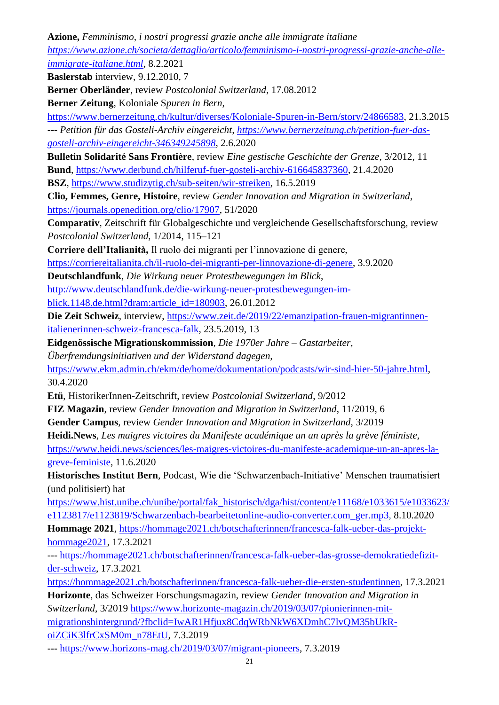**Azione,** *Femminismo, i nostri progressi grazie anche alle immigrate italiane [https://www.azione.ch/societa/dettaglio/articolo/femminismo-i-nostri-progressi-grazie-anche-alle](https://www.azione.ch/societa/dettaglio/articolo/femminismo-i-nostri-progressi-grazie-anche-alle-immigrate-italiane.html)[immigrate-italiane.html](https://www.azione.ch/societa/dettaglio/articolo/femminismo-i-nostri-progressi-grazie-anche-alle-immigrate-italiane.html)*, 8.2.2021

**Baslerstab** interview, 9.12.2010, 7

**Berner Oberländer**, review *Postcolonial Switzerland*, 17.08.2012

**Berner Zeitung**, Koloniale S*puren in Bern*,

[https://www.bernerzeitung.ch/kultur/diverses/Koloniale-Spuren-in-Bern/story/24866583,](https://www.bernerzeitung.ch/kultur/diverses/Koloniale-Spuren-in-Bern/story/24866583) 21.3.2015 **---** *Petition für das Gosteli-Archiv eingereicht, [https://www.bernerzeitung.ch/petition-fuer-das](https://www.bernerzeitung.ch/petition-fuer-das-gosteli-archiv-eingereicht-346349245898)[gosteli-archiv-eingereicht-346349245898](https://www.bernerzeitung.ch/petition-fuer-das-gosteli-archiv-eingereicht-346349245898)*, 2.6.2020

**Bulletin Solidarité Sans Frontière**, review *Eine gestische Geschichte der Grenze*, 3/2012, 11 **Bund**, [https://www.derbund.ch/hilferuf-fuer-gosteli-archiv-616645837360,](https://www.derbund.ch/hilferuf-fuer-gosteli-archiv-616645837360) 21.4.2020

**BSZ**, [https://www.studizytig.ch/sub-seiten/wir-streiken,](https://www.studizytig.ch/sub-seiten/wir-streiken/) 16.5.2019

**Clio, Femmes, Genre, Histoire**, review *Gender Innovation and Migration in Switzerland*, [https://journals.openedition.org/clio/17907,](https://journals.openedition.org/clio/17907) 51/2020

**Comparativ**, Zeitschrift für Globalgeschichte und vergleichende Gesellschaftsforschung, review *Postcolonial Switzerland*, 1/2014, 115–121

**Corriere dell'Italianità,** Il ruolo dei migranti per l'innovazione di genere,

[https://corriereitalianita.ch/il-ruolo-dei-migranti-per-linnovazione-di-genere,](https://corriereitalianita.ch/il-ruolo-dei-migranti-per-linnovazione-di-genere) 3.9.2020

**Deutschlandfunk**, *Die Wirkung neuer Protestbewegungen im Blick*,

[http://www.deutschlandfunk.de/die-wirkung-neuer-protestbewegungen-im-](http://www.deutschlandfunk.de/die-wirkung-neuer-protestbewegungen-im-blick.1148.de.html?dram:article_id=180903)

[blick.1148.de.html?dram:article\\_id=180903,](http://www.deutschlandfunk.de/die-wirkung-neuer-protestbewegungen-im-blick.1148.de.html?dram:article_id=180903) 26.01.2012

**Die Zeit Schweiz**, interview, [https://www.zeit.de/2019/22/emanzipation-frauen-migrantinnen](https://www.zeit.de/2019/22/emanzipation-frauen-migrantinnen-italienerinnen-schweiz-francesca-falk)[italienerinnen-schweiz-francesca-falk,](https://www.zeit.de/2019/22/emanzipation-frauen-migrantinnen-italienerinnen-schweiz-francesca-falk) 23.5.2019, 13

**Eidgenössische Migrationskommission**, *Die 1970er Jahre – Gastarbeiter,* 

*Überfremdungsinitiativen und der Widerstand dagegen,* 

[https://www.ekm.admin.ch/ekm/de/home/dokumentation/podcasts/wir-sind-hier-50-jahre.html,](https://www.ekm.admin.ch/ekm/de/home/dokumentation/podcasts/wir-sind-hier-50-jahre.html) 30.4.2020

**Etü**, HistorikerInnen-Zeitschrift, review *Postcolonial Switzerland*, 9/2012

**FIZ Magazin**, review *Gender Innovation and Migration in Switzerland*, 11/2019, 6

**Gender Campus**, review *Gender Innovation and Migration in Switzerland*, 3/2019

**Heidi.News**, *Les maigres victoires du Manifeste académique un an après la grève féministe,* 

[https://www.heidi.news/sciences/les-maigres-victoires-du-manifeste-academique-un-an-apres-la](https://www.heidi.news/sciences/les-maigres-victoires-du-manifeste-academique-un-an-apres-la-greve-feministe)[greve-feministe,](https://www.heidi.news/sciences/les-maigres-victoires-du-manifeste-academique-un-an-apres-la-greve-feministe) 11.6.2020

**Historisches Institut Bern***,* Podcast*,* Wie die 'Schwarzenbach-Initiative' Menschen traumatisiert (und politisiert) hat

[https://www.hist.unibe.ch/unibe/portal/fak\\_historisch/dga/hist/content/e11168/e1033615/e1033623/](https://www.hist.unibe.ch/unibe/portal/fak_historisch/dga/hist/content/e11168/e1033615/e1033623/e1123817/e1123819/Schwarzenbach-bearbeitetonline-audio-converter.com_ger.mp3) [e1123817/e1123819/Schwarzenbach-bearbeitetonline-audio-converter.com\\_ger.mp3,](https://www.hist.unibe.ch/unibe/portal/fak_historisch/dga/hist/content/e11168/e1033615/e1033623/e1123817/e1123819/Schwarzenbach-bearbeitetonline-audio-converter.com_ger.mp3) 8.10.2020

**Hommage 2021**, [https://hommage2021.ch/botschafterinnen/francesca-falk-ueber-das-projekt](https://hommage2021.ch/botschafterinnen/francesca-falk-ueber-das-projekt-hommage2021)[hommage2021,](https://hommage2021.ch/botschafterinnen/francesca-falk-ueber-das-projekt-hommage2021) 17.3.2021

--- [https://hommage2021.ch/botschafterinnen/francesca-falk-ueber-das-grosse-demokratiedefizit](https://hommage2021.ch/botschafterinnen/francesca-falk-ueber-das-grosse-demokratiedefizit-der-schweiz)[der-schweiz,](https://hommage2021.ch/botschafterinnen/francesca-falk-ueber-das-grosse-demokratiedefizit-der-schweiz) 17.3.2021

[https://hommage2021.ch/botschafterinnen/francesca-falk-ueber-die-ersten-studentinnen,](https://hommage2021.ch/botschafterinnen/francesca-falk-ueber-die-ersten-studentinnen) 17.3.2021

**Horizonte**, das Schweizer Forschungsmagazin, review *Gender Innovation and Migration in Switzerland*, 3/2019 [https://www.horizonte-magazin.ch/2019/03/07/pionierinnen-mit](https://www.horizonte-magazin.ch/2019/03/07/pionierinnen-mit-migrationshintergrund/?fbclid=IwAR1Hfjux8CdqWRbNkW6XDmhC7lvQM35bUkR-oiZCiK3lfrCxSM0m_n78EtU)[migrationshintergrund/?fbclid=IwAR1Hfjux8CdqWRbNkW6XDmhC7lvQM35bUkR-](https://www.horizonte-magazin.ch/2019/03/07/pionierinnen-mit-migrationshintergrund/?fbclid=IwAR1Hfjux8CdqWRbNkW6XDmhC7lvQM35bUkR-oiZCiK3lfrCxSM0m_n78EtU)

[oiZCiK3lfrCxSM0m\\_n78EtU,](https://www.horizonte-magazin.ch/2019/03/07/pionierinnen-mit-migrationshintergrund/?fbclid=IwAR1Hfjux8CdqWRbNkW6XDmhC7lvQM35bUkR-oiZCiK3lfrCxSM0m_n78EtU) 7.3.2019

**---** [https://www.horizons-mag.ch/2019/03/07/migrant-pioneers,](https://www.horizons-mag.ch/2019/03/07/migrant-pioneers) 7.3.2019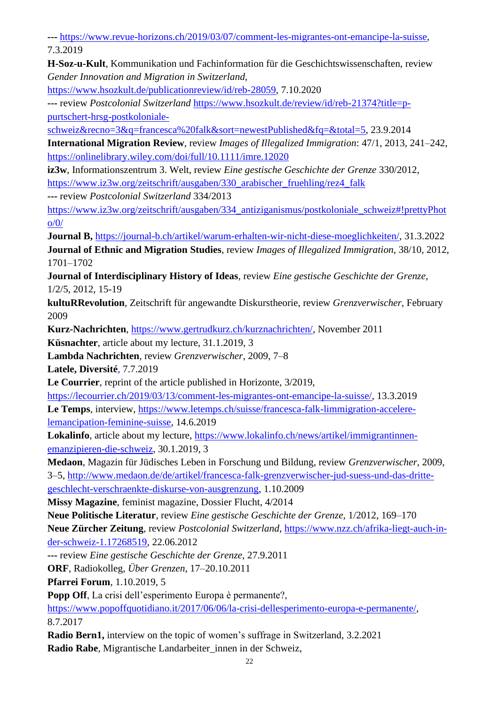**---** [https://www.revue-horizons.ch/2019/03/07/comment-les-migrantes-ont-emancipe-la-suisse,](https://www.revue-horizons.ch/2019/03/07/comment-les-migrantes-ont-emancipe-la-suisse) 7.3.2019

**H-Soz-u-Kult**, Kommunikation und Fachinformation für die Geschichtswissenschaften, review *Gender Innovation and Migration in Switzerland,* 

[https://www.hsozkult.de/publicationreview/id/reb-28059,](https://www.hsozkult.de/publicationreview/id/reb-28059) 7.10.2020

**---** review *Postcolonial Switzerland* [https://www.hsozkult.de/review/id/reb-21374?title=p](https://www.hsozkult.de/review/id/reb-21374?title=p-purtschert-hrsg-postkoloniale-schweiz&recno=3&q=francesca%20falk&sort=newestPublished&fq=&total=5)[purtschert-hrsg-postkoloniale-](https://www.hsozkult.de/review/id/reb-21374?title=p-purtschert-hrsg-postkoloniale-schweiz&recno=3&q=francesca%20falk&sort=newestPublished&fq=&total=5)

[schweiz&recno=3&q=francesca%20falk&sort=newestPublished&fq=&total=5,](https://www.hsozkult.de/review/id/reb-21374?title=p-purtschert-hrsg-postkoloniale-schweiz&recno=3&q=francesca%20falk&sort=newestPublished&fq=&total=5) 23.9.2014

**International Migration Review**, review *Images of Illegalized Immigration*: 47/1, 2013, 241–242, <https://onlinelibrary.wiley.com/doi/full/10.1111/imre.12020>

**iz3w**, Informationszentrum 3. Welt, review *Eine gestische Geschichte der Grenze* 330/2012, [https://www.iz3w.org/zeitschrift/ausgaben/330\\_arabischer\\_fruehling/rez4\\_falk](https://www.iz3w.org/zeitschrift/ausgaben/330_arabischer_fruehling/rez4_falk)

**---** review *Postcolonial Switzerland* 334/2013

[https://www.iz3w.org/zeitschrift/ausgaben/334\\_antiziganismus/postkoloniale\\_schweiz#!prettyPhot](https://www.iz3w.org/zeitschrift/ausgaben/334_antiziganismus/postkoloniale_schweiz#!prettyPhoto/0/)  $o/0/$ 

**Journal B,** [https://journal-b.ch/artikel/warum-erhalten-wir-nicht-diese-moeglichkeiten/,](https://journal-b.ch/artikel/warum-erhalten-wir-nicht-diese-moeglichkeiten/) 31.3.2022 **Journal of Ethnic and Migration Studies**, review *Images of Illegalized Immigration*, 38/10, 2012, 1701–1702

**Journal of Interdisciplinary History of Ideas**, review *Eine gestische Geschichte der Grenze*, 1/2/5, 2012, 15-19

**kultuRRevolution**, Zeitschrift für angewandte Diskurstheorie, review *Grenzverwischer,* February 2009

**Kurz-Nachrichten**, [https://www.gertrudkurz.ch/kurznachrichten/,](https://www.gertrudkurz.ch/kurznachrichten/) November 2011

**Küsnachter**, article about my lecture, 31.1.2019, 3

**Lambda Nachrichten**, review *Grenzverwischer*, 2009, 7–8

**Latele, Diversité**, 7.7.2019

**Le Courrier**, reprint of the article published in Horizonte, 3/2019,

[https://lecourrier.ch/2019/03/13/comment-les-migrantes-ont-emancipe-la-suisse/,](https://lecourrier.ch/2019/03/13/comment-les-migrantes-ont-emancipe-la-suisse/) 13.3.2019 **Le Temps**, interview, [https://www.letemps.ch/suisse/francesca-falk-limmigration-accelere](https://www.letemps.ch/suisse/francesca-falk-limmigration-accelere-lemancipation-feminine-suisse)[lemancipation-feminine-suisse,](https://www.letemps.ch/suisse/francesca-falk-limmigration-accelere-lemancipation-feminine-suisse) 14.6.2019

**Lokalinfo**, article about my lecture, [https://www.lokalinfo.ch/news/artikel/immigrantinnen](https://www.lokalinfo.ch/news/artikel/immigrantinnen-emanzipieren-die-schweiz)[emanzipieren-die-schweiz,](https://www.lokalinfo.ch/news/artikel/immigrantinnen-emanzipieren-die-schweiz) 30.1.2019, 3

**Medaon**, Magazin für Jüdisches Leben in Forschung und Bildung, review *Grenzverwischer,* 2009, 3–5, [http://www.medaon.de/de/artikel/francesca-falk-grenzverwischer-jud-suess-und-das-dritte](http://www.medaon.de/de/artikel/francesca-falk-grenzverwischer-jud-suess-und-das-dritte-geschlecht-verschraenkte-diskurse-von-ausgrenzung)[geschlecht-verschraenkte-diskurse-von-ausgrenzung,](http://www.medaon.de/de/artikel/francesca-falk-grenzverwischer-jud-suess-und-das-dritte-geschlecht-verschraenkte-diskurse-von-ausgrenzung) 1.10.2009

**Missy Magazine**, feminist magazine, Dossier Flucht, 4/2014

**Neue Politische Literatur**, review *Eine gestische Geschichte der Grenze,* 1/2012, 169–170 **Neue Zürcher Zeitung**, review *Postcolonial Switzerland*, [https://www.nzz.ch/afrika-liegt-auch-in-](https://www.nzz.ch/afrika-liegt-auch-in-der-schweiz-1.17268519)

[der-schweiz-1.17268519](https://www.nzz.ch/afrika-liegt-auch-in-der-schweiz-1.17268519)*,* 22.06.2012

**---** review *Eine gestische Geschichte der Grenze*, 27.9.2011

**ORF**, Radiokolleg, *Über Grenzen*, 17–20.10.2011

**Pfarrei Forum**, 1.10.2019, 5

**Popp Off**, La crisi dell'esperimento Europa è permanente?,

[https://www.popoffquotidiano.it/2017/06/06/la-crisi-dellesperimento-europa-e-permanente/,](https://www.popoffquotidiano.it/2017/06/06/la-crisi-dellesperimento-europa-e-permanente/) 8.7.2017

**Radio Bern1,** interview on the topic of women's suffrage in Switzerland, 3.2.2021 **Radio Rabe**, Migrantische Landarbeiter\_innen in der Schweiz,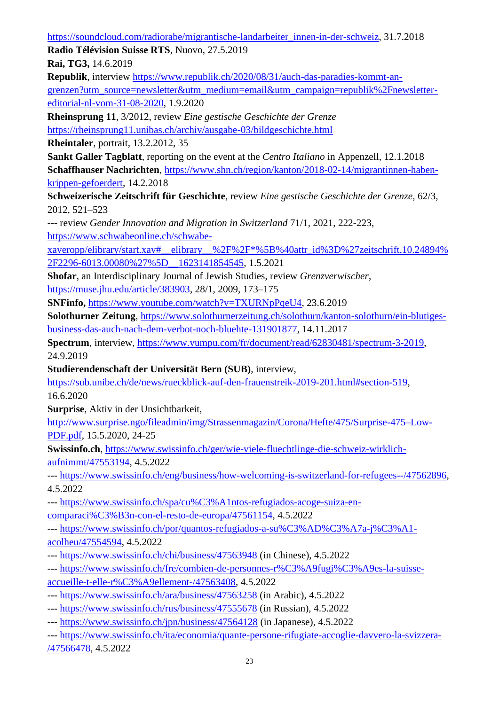[https://soundcloud.com/radiorabe/migrantische-landarbeiter\\_innen-in-der-schweiz,](https://soundcloud.com/radiorabe/migrantische-landarbeiter_innen-in-der-schweiz) 31.7.2018

**Radio Télévision Suisse RTS**, Nuovo, 27.5.2019

**Rai, TG3,** 14.6.2019

**Republik**, interview [https://www.republik.ch/2020/08/31/auch-das-paradies-kommt-an](https://www.republik.ch/2020/08/31/auch-das-paradies-kommt-an-grenzen?utm_source=newsletter&utm_medium=email&utm_campaign=republik%2Fnewsletter-editorial-nl-vom-31-08-2020)[grenzen?utm\\_source=newsletter&utm\\_medium=email&utm\\_campaign=republik%2Fnewsletter](https://www.republik.ch/2020/08/31/auch-das-paradies-kommt-an-grenzen?utm_source=newsletter&utm_medium=email&utm_campaign=republik%2Fnewsletter-editorial-nl-vom-31-08-2020)[editorial-nl-vom-31-08-2020,](https://www.republik.ch/2020/08/31/auch-das-paradies-kommt-an-grenzen?utm_source=newsletter&utm_medium=email&utm_campaign=republik%2Fnewsletter-editorial-nl-vom-31-08-2020) 1.9.2020

**Rheinsprung 11**, 3/2012, review *Eine gestische Geschichte der Grenze*

<https://rheinsprung11.unibas.ch/archiv/ausgabe-03/bildgeschichte.html>

**Rheintaler**, portrait, 13.2.2012, 35

**Sankt Galler Tagblatt**, reporting on the event at the *Centro Italiano* in Appenzell, 12.1.2018 **Schaffhauser Nachrichten**, [https://www.shn.ch/region/kanton/2018-02-14/migrantinnen-haben](https://www.shn.ch/region/kanton/2018-02-14/migrantinnen-haben-krippen-gefoerdert)[krippen-gefoerdert,](https://www.shn.ch/region/kanton/2018-02-14/migrantinnen-haben-krippen-gefoerdert) 14.2.2018

**Schweizerische Zeitschrift für Geschichte**, review *Eine gestische Geschichte der Grenze,* 62/3, 2012*,* 521–523

**---** review *Gender Innovation and Migration in Switzerland* 71/1, 2021, 222-223, [https://www.schwabeonline.ch/schwabe-](https://www.schwabeonline.ch/schwabe-xaveropp/elibrary/start.xav#__elibrary__%2F%2F*%5B%40attr_id%3D%27zeitschrift.10.24894%2F2296-6013.00080%27%5D__1623141854545)

[xaveropp/elibrary/start.xav#\\_\\_elibrary\\_\\_%2F%2F\\*%5B%40attr\\_id%3D%27zeitschrift.10.24894%](https://www.schwabeonline.ch/schwabe-xaveropp/elibrary/start.xav#__elibrary__%2F%2F*%5B%40attr_id%3D%27zeitschrift.10.24894%2F2296-6013.00080%27%5D__1623141854545) [2F2296-6013.00080%27%5D\\_\\_1623141854545,](https://www.schwabeonline.ch/schwabe-xaveropp/elibrary/start.xav#__elibrary__%2F%2F*%5B%40attr_id%3D%27zeitschrift.10.24894%2F2296-6013.00080%27%5D__1623141854545) 1.5.2021

**Shofar**, an Interdisciplinary Journal of Jewish Studies, review *Grenzverwischer*, [https://muse.jhu.edu/article/383903,](https://muse.jhu.edu/article/383903) 28/1, 2009, 173–175

**SNFinfo,** [https://www.youtube.com/watch?v=TXURNpPqeU4,](https://www.youtube.com/watch?v=TXURNpPqeU4) 23.6.2019

**Solothurner Zeitung**, [https://www.solothurnerzeitung.ch/solothurn/kanton-solothurn/ein-blutiges](https://www.solothurnerzeitung.ch/solothurn/kanton-solothurn/ein-blutiges-business-das-auch-nach-dem-verbot-noch-bluehte-131901877)[business-das-auch-nach-dem-verbot-noch-bluehte-131901877,](https://www.solothurnerzeitung.ch/solothurn/kanton-solothurn/ein-blutiges-business-das-auch-nach-dem-verbot-noch-bluehte-131901877) 14.11.2017

**Spectrum**, interview, [https://www.yumpu.com/fr/document/read/62830481/spectrum-3-2019,](https://www.yumpu.com/fr/document/read/62830481/spectrum-3-2019) 24.9.2019

**Studierendenschaft der Universität Bern (SUB)**, [interview,](file:///C:/Users/ff19x243/My%20Tresors/Documents/bewerbung/Lebenslauf/%20https/sub.unibe.ch/de/news/rueckblick-auf-den-frauenstreik-2019-201.html%23section-519)

[https://sub.unibe.ch/de/news/rueckblick-auf-den-frauenstreik-2019-201.html#section-519,](https://sub.unibe.ch/de/news/rueckblick-auf-den-frauenstreik-2019-201.html#section-519) 16.6.2020

**Surprise**, Aktiv in der Unsichtbarkeit,

[http://www.surprise.ngo/fileadmin/img/Strassenmagazin/Corona/Hefte/475/Surprise-475–Low-](http://www.surprise.ngo/fileadmin/img/Strassenmagazin/Corona/Hefte/475/Surprise-475–Low-PDF.pdf)[PDF.pdf,](http://www.surprise.ngo/fileadmin/img/Strassenmagazin/Corona/Hefte/475/Surprise-475–Low-PDF.pdf) 15.5.2020, 24-25

**Swissinfo.ch**, [https://www.swissinfo.ch/ger/wie-viele-fluechtlinge-die-schweiz-wirklich](https://www.swissinfo.ch/ger/wie-viele-fluechtlinge-die-schweiz-wirklich-aufnimmt/47553194?utm_campaign=teaser-in-channel&utm_content=o&utm_source=swissinfoch&utm_medium=display)[aufnimmt/47553194,](https://www.swissinfo.ch/ger/wie-viele-fluechtlinge-die-schweiz-wirklich-aufnimmt/47553194?utm_campaign=teaser-in-channel&utm_content=o&utm_source=swissinfoch&utm_medium=display) 4.5.2022

**---** [https://www.swissinfo.ch/eng/business/how-welcoming-is-switzerland-for-refugees--/47562896,](https://www.swissinfo.ch/eng/business/how-welcoming-is-switzerland-for-refugees--/47562896) 4.5.2022

**---** [https://www.swissinfo.ch/spa/cu%C3%A1ntos-refugiados-acoge-suiza-en](https://www.swissinfo.ch/spa/cu%C3%A1ntos-refugiados-acoge-suiza-en-comparaci%C3%B3n-con-el-resto-de-europa/47561154)[comparaci%C3%B3n-con-el-resto-de-europa/47561154,](https://www.swissinfo.ch/spa/cu%C3%A1ntos-refugiados-acoge-suiza-en-comparaci%C3%B3n-con-el-resto-de-europa/47561154) 4.5.2022

**---** [https://www.swissinfo.ch/por/quantos-refugiados-a-su%C3%AD%C3%A7a-j%C3%A1](https://www.swissinfo.ch/por/quantos-refugiados-a-su%C3%AD%C3%A7a-j%C3%A1-acolheu/47554594) [acolheu/47554594,](https://www.swissinfo.ch/por/quantos-refugiados-a-su%C3%AD%C3%A7a-j%C3%A1-acolheu/47554594) 4.5.2022

- **---** <https://www.swissinfo.ch/chi/business/47563948> (in Chinese), 4.5.2022
- **---** [https://www.swissinfo.ch/fre/combien-de-personnes-r%C3%A9fugi%C3%A9es-la-suisse](https://www.swissinfo.ch/fre/combien-de-personnes-r%C3%A9fugi%C3%A9es-la-suisse-accueille-t-elle-r%C3%A9ellement-/47563408)[accueille-t-elle-r%C3%A9ellement-/47563408,](https://www.swissinfo.ch/fre/combien-de-personnes-r%C3%A9fugi%C3%A9es-la-suisse-accueille-t-elle-r%C3%A9ellement-/47563408) 4.5.2022
- **---** <https://www.swissinfo.ch/ara/business/47563258> (in Arabic), 4.5.2022
- **---** [https://www.swissinfo.ch/rus/business/47555678](https://www.swissinfo.ch/rus/business/%D1%81%D0%BA%D0%BE%D0%BB%D1%8C%D0%BA%D0%BE-%D0%B1%D0%B5%D0%B6%D0%B5%D0%BD%D1%86%D0%B5%D0%B2-%D0%BD%D0%B0-%D1%81%D0%B0%D0%BC%D0%BE%D0%BC-%D0%B4%D0%B5%D0%BB%D0%B5-%D0%BF%D1%80%D0%B8%D0%BD%D0%B8%D0%BC%D0%B0%D0%B5%D1%82-%D1%83-%D1%81%D0%B5%D0%B1%D1%8F-%D1%88%D0%B2%D0%B5%D0%B9%D1%86%D0%B0%D1%80%D0%B8%D1%8F-/47555678) (in Russian), 4.5.2022
- **---** <https://www.swissinfo.ch/jpn/business/47564128> (in Japanese), 4.5.2022
- **---** [https://www.swissinfo.ch/ita/economia/quante-persone-rifugiate-accoglie-davvero-la-svizzera-](https://www.swissinfo.ch/ita/economia/quante-persone-rifugiate-accoglie-davvero-la-svizzera-/47566478) [/47566478,](https://www.swissinfo.ch/ita/economia/quante-persone-rifugiate-accoglie-davvero-la-svizzera-/47566478) 4.5.2022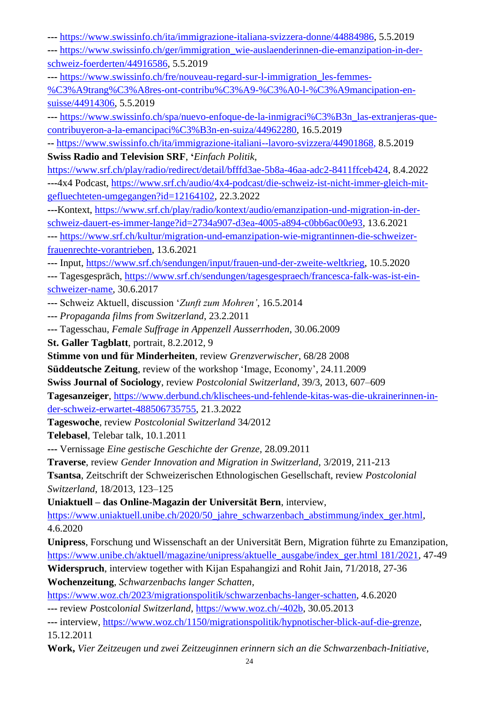**---** [https://www.swissinfo.ch/ita/immigrazione-italiana-svizzera-donne/44884986,](https://www.swissinfo.ch/ita/immigrazione-italiana-svizzera-donne/44884986) 5.5.2019

**---** [https://www.swissinfo.ch/ger/immigration\\_wie-auslaenderinnen-die-emanzipation-in-der](https://www.swissinfo.ch/ger/immigration_wie-auslaenderinnen-die-emanzipation-in-der-schweiz-foerderten/44916586)[schweiz-foerderten/44916586,](https://www.swissinfo.ch/ger/immigration_wie-auslaenderinnen-die-emanzipation-in-der-schweiz-foerderten/44916586) 5.5.2019

**---** [https://www.swissinfo.ch/fre/nouveau-regard-sur-l-immigration\\_les-femmes-](https://www.swissinfo.ch/fre/nouveau-regard-sur-l-immigration_les-femmes-%C3%A9trang%C3%A8res-ont-contribu%C3%A9-%C3%A0-l-%C3%A9mancipation-en-suisse/44914306)

[%C3%A9trang%C3%A8res-ont-contribu%C3%A9-%C3%A0-l-%C3%A9mancipation-en](https://www.swissinfo.ch/fre/nouveau-regard-sur-l-immigration_les-femmes-%C3%A9trang%C3%A8res-ont-contribu%C3%A9-%C3%A0-l-%C3%A9mancipation-en-suisse/44914306)[suisse/44914306,](https://www.swissinfo.ch/fre/nouveau-regard-sur-l-immigration_les-femmes-%C3%A9trang%C3%A8res-ont-contribu%C3%A9-%C3%A0-l-%C3%A9mancipation-en-suisse/44914306) 5.5.2019

**---** [https://www.swissinfo.ch/spa/nuevo-enfoque-de-la-inmigraci%C3%B3n\\_las-extranjeras-que](https://www.swissinfo.ch/spa/nuevo-enfoque-de-la-inmigraci%C3%B3n_las-extranjeras-que-contribuyeron-a-la-emancipaci%C3%B3n-en-suiza/44962280)[contribuyeron-a-la-emancipaci%C3%B3n-en-suiza/44962280,](https://www.swissinfo.ch/spa/nuevo-enfoque-de-la-inmigraci%C3%B3n_las-extranjeras-que-contribuyeron-a-la-emancipaci%C3%B3n-en-suiza/44962280) 16.5.2019

**--** [https://www.swissinfo.ch/ita/immigrazione-italiani--lavoro-svizzera/44901868,](https://www.swissinfo.ch/ita/immigrazione-italiani--lavoro-svizzera/44901868) 8.5.2019 **Swiss Radio and Television SRF**, **'***Einfach Politik,*

[https://www.srf.ch/play/radio/redirect/detail/bfffd3ae-5b8a-46aa-adc2-8411ffceb424,](https://www.srf.ch/play/radio/redirect/detail/bfffd3ae-5b8a-46aa-adc2-8411ffceb424) 8.4.2022 **---**4x4 Podcast, [https://www.srf.ch/audio/4x4-podcast/die-schweiz-ist-nicht-immer-gleich-mit](https://www.srf.ch/audio/4x4-podcast/die-schweiz-ist-nicht-immer-gleich-mit-gefluechteten-umgegangen?id=12164102)[gefluechteten-umgegangen?id=12164102,](https://www.srf.ch/audio/4x4-podcast/die-schweiz-ist-nicht-immer-gleich-mit-gefluechteten-umgegangen?id=12164102) 22.3.2022

**---**Kontext, [https://www.srf.ch/play/radio/kontext/audio/emanzipation-und-migration-in-der](https://www.srf.ch/play/radio/kontext/audio/emanzipation-und-migration-in-der-schweiz-dauert-es-immer-lange?id=2734a907-d3ea-4005-a894-c0bb6ac00e93)[schweiz-dauert-es-immer-lange?id=2734a907-d3ea-4005-a894-c0bb6ac00e93,](https://www.srf.ch/play/radio/kontext/audio/emanzipation-und-migration-in-der-schweiz-dauert-es-immer-lange?id=2734a907-d3ea-4005-a894-c0bb6ac00e93) 13.6.2021

**---** [https://www.srf.ch/kultur/migration-und-emanzipation-wie-migrantinnen-die-schweizer](https://www.srf.ch/kultur/migration-und-emanzipation-wie-migrantinnen-die-schweizer-frauenrechte-vorantrieben)[frauenrechte-vorantrieben,](https://www.srf.ch/kultur/migration-und-emanzipation-wie-migrantinnen-die-schweizer-frauenrechte-vorantrieben) 13.6.2021

**---** Input, [https://www.srf.ch/sendungen/input/frauen-und-der-zweite-weltkrieg,](https://www.srf.ch/sendungen/input/frauen-und-der-zweite-weltkrieg) 10.5.2020

**---** Tagesgespräch, [https://www.srf.ch/sendungen/tagesgespraech/francesca-falk-was-ist-ein](https://www.srf.ch/sendungen/tagesgespraech/francesca-falk-was-ist-ein-schweizer-name)[schweizer-name,](https://www.srf.ch/sendungen/tagesgespraech/francesca-falk-was-ist-ein-schweizer-name) 30.6.2017

**---** Schweiz Aktuell, discussion '*Zunft zum Mohren'*, 16.5.2014

**---** *Propaganda films from Switzerland*, 23.2.2011

**---** Tagesschau, *Female Suffrage in Appenzell Ausserrhoden*, 30.06.2009

**St. Galler Tagblatt**, portrait, 8.2.2012, 9

**Stimme von und für Minderheiten**, review *Grenzverwischer*, 68/28 2008

**Süddeutsche Zeitung**, review of the workshop 'Image, Economy', 24.11.2009

**Swiss Journal of Sociology**, review *Postcolonial Switzerland*, 39/3, 2013*,* 607–609

**Tagesanzeiger**, [https://www.derbund.ch/klischees-und-fehlende-kitas-was-die-ukrainerinnen-in](https://www.derbund.ch/klischees-und-fehlende-kitas-was-die-ukrainerinnen-in-der-schweiz-erwartet-488506735755)[der-schweiz-erwartet-488506735755,](https://www.derbund.ch/klischees-und-fehlende-kitas-was-die-ukrainerinnen-in-der-schweiz-erwartet-488506735755) 21.3.2022

**Tageswoche**, review *Postcolonial Switzerland* 34/2012

**Telebasel**, Telebar talk, 10.1.2011

**---** Vernissage *Eine gestische Geschichte der Grenze,* 28.09.2011

**Traverse**, review *Gender Innovation and Migration in Switzerland,* 3/2019, 211-213

**Tsantsa**, Zeitschrift der Schweizerischen Ethnologischen Gesellschaft, review *Postcolonial Switzerland*, 18/2013, 123–125

**Uniaktuell – das Online-Magazin der Universität Bern**, interview,

[https://www.uniaktuell.unibe.ch/2020/50\\_jahre\\_schwarzenbach\\_abstimmung/index\\_ger.html,](https://www.uniaktuell.unibe.ch/2020/50_jahre_schwarzenbach_abstimmung/index_ger.html) 4.6.2020

**Unipress**, Forschung und Wissenschaft an der Universität Bern, Migration führte zu Emanzipation, [https://www.unibe.ch/aktuell/magazine/unipress/aktuelle\\_ausgabe/index\\_ger.html 181/2021,](https://www.unibe.ch/aktuell/magazine/unipress/aktuelle_ausgabe/index_ger.html%20181/2021) 47-49 **Widerspruch**, interview together with Kijan Espahangizi and Rohit Jain, 71/2018, 27-36

**Wochenzeitung**, *Schwarzenbachs langer Schatten,* 

[https://www.woz.ch/2023/migrationspolitik/schwarzenbachs-langer-schatten,](https://www.woz.ch/2023/migrationspolitik/schwarzenbachs-langer-schatten) 4.6.2020

**---** review *P*ostcolo*nial Switzerland,* [https://www.woz.ch/-402b,](https://www.woz.ch/-402b) 30.05.2013

**---** interview, [https://www.woz.ch/1150/migrationspolitik/hypnotischer-blick-auf-die-grenze,](https://www.woz.ch/1150/migrationspolitik/hypnotischer-blick-auf-die-grenze) 15.12.2011

**Work,** *Vier Zeitzeugen und zwei Zeitzeuginnen erinnern sich an die Schwarzenbach-Initiative,*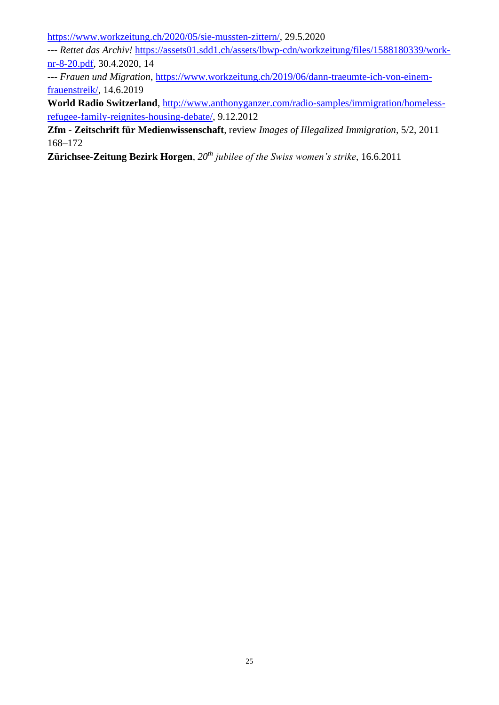[https://www.workzeitung.ch/2020/05/sie-mussten-zittern/,](https://www.workzeitung.ch/2020/05/sie-mussten-zittern/) 29.5.2020

**---** *Rettet das Archiv!* [https://assets01.sdd1.ch/assets/lbwp-cdn/workzeitung/files/1588180339/work](https://assets01.sdd1.ch/assets/lbwp-cdn/workzeitung/files/1588180339/work-nr-8-20.pdf)[nr-8-20.pdf,](https://assets01.sdd1.ch/assets/lbwp-cdn/workzeitung/files/1588180339/work-nr-8-20.pdf) 30.4.2020, 14

**---** *Frauen und Migration*, [https://www.workzeitung.ch/2019/06/dann-traeumte-ich-von-einem](https://www.workzeitung.ch/2019/06/dann-traeumte-ich-von-einem-frauenstreik/)[frauenstreik/,](https://www.workzeitung.ch/2019/06/dann-traeumte-ich-von-einem-frauenstreik/) 14.6.2019

**World Radio Switzerland**, [http://www.anthonyganzer.com/radio-samples/immigration/homeless](http://www.anthonyganzer.com/radio-samples/immigration/homeless-refugee-family-reignites-housing-debate/)[refugee-family-reignites-housing-debate/,](http://www.anthonyganzer.com/radio-samples/immigration/homeless-refugee-family-reignites-housing-debate/) 9.12.2012

**Zfm** - **Zeitschrift für Medienwissenschaft**, review *Images of Illegalized Immigration,* 5/2, 2011 168–172

**Zürichsee-Zeitung Bezirk Horgen**, *20th jubilee of the Swiss women's strike*, 16.6.2011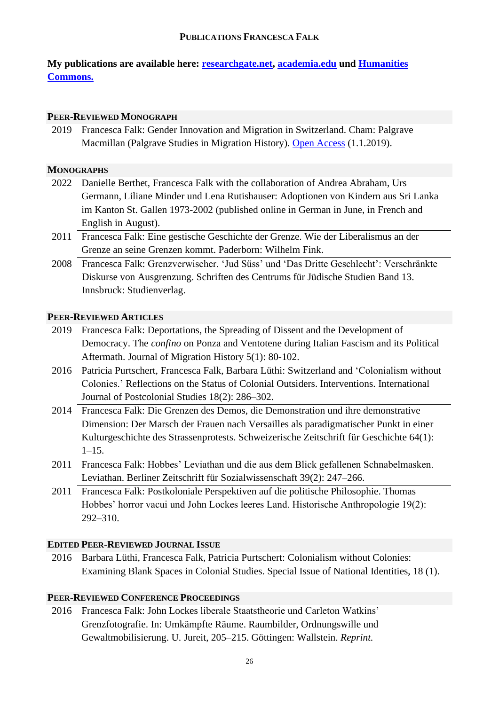## **PUBLICATIONS FRANCESCA FALK**

**My publications are available here: [researchgate.net,](https://www.researchgate.net/profile/Francesca-Falk) [academia.edu](file:///C:/Users/ff19x243/My%20Tresors/Documents/bewerbung/Lebenslauf/academia.edu) und [Humanities](https://hcommons.org/members/ffalk/)  [Commons.](https://hcommons.org/members/ffalk/)**

## **PEER-REVIEWED MONOGRAPH**

2019 Francesca Falk: Gender Innovation and Migration in Switzerland. Cham: Palgrave Macmillan (Palgrave Studies in Migration History). [Open Access](http://www.palgrave.com/978-3-030-01626-5) (1.1.2019).

#### **MONOGRAPHS**

- 2022 Danielle Berthet, Francesca Falk with the collaboration of Andrea Abraham, Urs Germann, Liliane Minder und Lena Rutishauser: Adoptionen von Kindern aus Sri Lanka im Kanton St. Gallen 1973-2002 (published online in German in June, in French and English in August).
- 2011 Francesca Falk: Eine gestische Geschichte der Grenze. Wie der Liberalismus an der Grenze an seine Grenzen kommt. Paderborn: Wilhelm Fink.
- 2008 Francesca Falk: Grenzverwischer. 'Jud Süss' und 'Das Dritte Geschlecht': Verschränkte Diskurse von Ausgrenzung. Schriften des Centrums für Jüdische Studien Band 13. Innsbruck: Studienverlag.

# **PEER-REVIEWED ARTICLES**

- 2019 Francesca Falk: Deportations, the Spreading of Dissent and the Development of Democracy. The *confino* on Ponza and Ventotene during Italian Fascism and its Political Aftermath. Journal of Migration History 5(1): 80-102.
- 2016 Patricia Purtschert, Francesca Falk, Barbara Lüthi: Switzerland and 'Colonialism without Colonies.' Reflections on the Status of Colonial Outsiders. Interventions. International Journal of Postcolonial Studies 18(2): 286–302.
- 2014 Francesca Falk: Die Grenzen des Demos, die Demonstration und ihre demonstrative Dimension: Der Marsch der Frauen nach Versailles als paradigmatischer Punkt in einer Kulturgeschichte des Strassenprotests. Schweizerische Zeitschrift für Geschichte 64(1):  $1-15.$
- 2011 Francesca Falk: Hobbes' Leviathan und die aus dem Blick gefallenen Schnabelmasken. Leviathan. Berliner Zeitschrift für Sozialwissenschaft 39(2): 247–266.
- 2011 Francesca Falk: Postkoloniale Perspektiven auf die politische Philosophie. Thomas Hobbes' horror vacui und John Lockes leeres Land. Historische Anthropologie 19(2): 292–310.

## **EDITED PEER-REVIEWED JOURNAL ISSUE**

2016 Barbara Lüthi, Francesca Falk, Patricia Purtschert: Colonialism without Colonies: Examining Blank Spaces in Colonial Studies. Special Issue of National Identities, 18 (1).

# **PEER-REVIEWED CONFERENCE PROCEEDINGS**

2016 Francesca Falk: John Lockes liberale Staatstheorie und Carleton Watkins' Grenzfotografie. In: Umkämpfte Räume. Raumbilder, Ordnungswille und Gewaltmobilisierung. U. Jureit, 205–215. Göttingen: Wallstein. *Reprint.*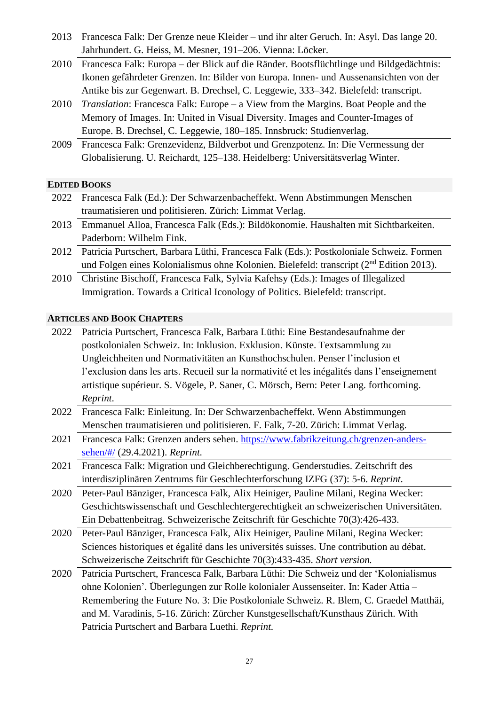- 2013 Francesca Falk: Der Grenze neue Kleider und ihr alter Geruch. In: Asyl. Das lange 20. Jahrhundert. G. Heiss, M. Mesner, 191–206. Vienna: Löcker.
- 2010 Francesca Falk: Europa der Blick auf die Ränder. Bootsflüchtlinge und Bildgedächtnis: Ikonen gefährdeter Grenzen. In: Bilder von Europa. Innen- und Aussenansichten von der Antike bis zur Gegenwart. B. Drechsel, C. Leggewie, 333–342. Bielefeld: transcript.
- 2010 *Translation*: Francesca Falk: Europe a View from the Margins. Boat People and the Memory of Images. In: United in Visual Diversity. Images and Counter-Images of Europe. B. Drechsel, C. Leggewie, 180–185. Innsbruck: Studienverlag.
- 2009 Francesca Falk: Grenzevidenz, Bildverbot und Grenzpotenz. In: Die Vermessung der Globalisierung. U. Reichardt, 125–138. Heidelberg: Universitätsverlag Winter.

## **EDITED BOOKS**

- 2022 Francesca Falk (Ed.): Der Schwarzenbacheffekt. Wenn Abstimmungen Menschen traumatisieren und politisieren. Zürich: Limmat Verlag.
- 2013 Emmanuel Alloa, Francesca Falk (Eds.): Bildökonomie. Haushalten mit Sichtbarkeiten. Paderborn: Wilhelm Fink.
- 2012 Patricia Purtschert, Barbara Lüthi, Francesca Falk (Eds.): Postkoloniale Schweiz. Formen und Folgen eines Kolonialismus ohne Kolonien. Bielefeld: transcript (2<sup>nd</sup> Edition 2013).
- 2010 Christine Bischoff, Francesca Falk, Sylvia Kafehsy (Eds.): Images of Illegalized Immigration. Towards a Critical Iconology of Politics. Bielefeld: transcript.

## **ARTICLES AND BOOK CHAPTERS**

- 2022 Patricia Purtschert, Francesca Falk, Barbara Lüthi: Eine Bestandesaufnahme der postkolonialen Schweiz. In: Inklusion. Exklusion. Künste. Textsammlung zu Ungleichheiten und Normativitäten an Kunsthochschulen. Penser l'inclusion et l'exclusion dans les arts. Recueil sur la normativité et les inégalités dans l'enseignement artistique supérieur. S. Vögele, P. Saner, C. Mörsch, Bern: Peter Lang. forthcoming. *Reprint.*
- 2022 Francesca Falk: Einleitung. In: Der Schwarzenbacheffekt. Wenn Abstimmungen Menschen traumatisieren und politisieren. F. Falk, 7-20. Zürich: Limmat Verlag.
- 2021 Francesca Falk: Grenzen anders sehen. [https://www.fabrikzeitung.ch/grenzen-anders](https://www.fabrikzeitung.ch/grenzen-anders-sehen/#/)[sehen/#/](https://www.fabrikzeitung.ch/grenzen-anders-sehen/#/) (29.4.2021). *Reprint.*
- 2021 Francesca Falk: Migration und Gleichberechtigung. Genderstudies. Zeitschrift des interdisziplinären Zentrums für Geschlechterforschung IZFG (37): 5-6. *Reprint.*
- 2020 Peter-Paul Bänziger, Francesca Falk, Alix Heiniger, Pauline Milani, Regina Wecker: Geschichtswissenschaft und Geschlechtergerechtigkeit an schweizerischen Universitäten. Ein Debattenbeitrag. Schweizerische Zeitschrift für Geschichte 70(3):426-433.
- 2020 Peter-Paul Bänziger, Francesca Falk, Alix Heiniger, Pauline Milani, Regina Wecker: Sciences historiques et égalité dans les universités suisses. Une contribution au débat. Schweizerische Zeitschrift für Geschichte 70(3):433-435. *Short version.*
- 2020 Patricia Purtschert, Francesca Falk, Barbara Lüthi: Die Schweiz und der 'Kolonialismus ohne Kolonien'. Überlegungen zur Rolle kolonialer Aussenseiter. In: Kader Attia – Remembering the Future No. 3: Die Postkoloniale Schweiz. R. Blem, C. Graedel Matthäi, and M. Varadinis, 5-16. Zürich: Zürcher Kunstgesellschaft/Kunsthaus Zürich. With Patricia Purtschert and Barbara Luethi. *Reprint.*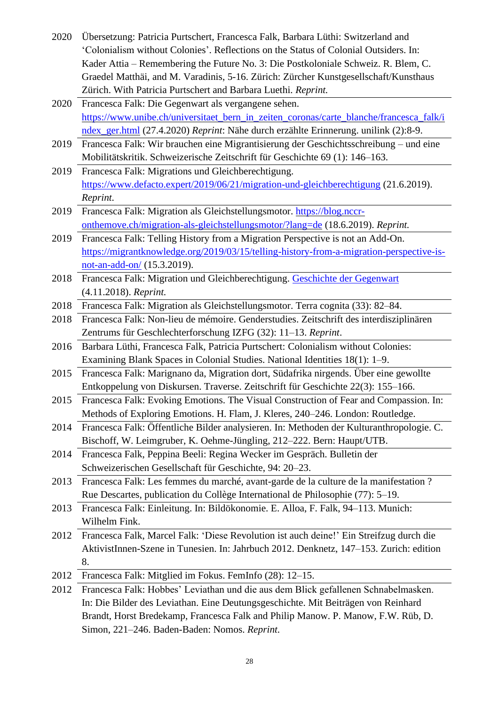- 2020 Übersetzung: Patricia Purtschert, Francesca Falk, Barbara Lüthi: Switzerland and 'Colonialism without Colonies'. Reflections on the Status of Colonial Outsiders. In: Kader Attia – Remembering the Future No. 3: Die Postkoloniale Schweiz. R. Blem, C. Graedel Matthäi, and M. Varadinis, 5-16. Zürich: Zürcher Kunstgesellschaft/Kunsthaus Zürich. With Patricia Purtschert and Barbara Luethi. *Reprint.*
- 2020 Francesca Falk: Die Gegenwart als vergangene sehen. [https://www.unibe.ch/universitaet\\_bern\\_in\\_zeiten\\_coronas/carte\\_blanche/francesca\\_falk/i](https://www.unibe.ch/universitaet_bern_in_zeiten_coronas/carte_blanche/francesca_falk/index_ger.html) [ndex\\_ger.html](https://www.unibe.ch/universitaet_bern_in_zeiten_coronas/carte_blanche/francesca_falk/index_ger.html) (27.4.2020) *Reprint*: Nähe durch erzählte Erinnerung. unilink (2):8-9.
- 2019 Francesca Falk: Wir brauchen eine Migrantisierung der Geschichtsschreibung und eine Mobilitätskritik. Schweizerische Zeitschrift für Geschichte 69 (1): 146–163.
- 2019 Francesca Falk: Migrations und Gleichberechtigung. <https://www.defacto.expert/2019/06/21/migration-und-gleichberechtigung> (21.6.2019). *Reprint.*
- 2019 Francesca Falk: Migration als Gleichstellungsmotor. [https://blog.nccr](https://blog.nccr-onthemove.ch/migration-als-gleichstellungsmotor/?lang=de)[onthemove.ch/migration-als-gleichstellungsmotor/?lang=de](https://blog.nccr-onthemove.ch/migration-als-gleichstellungsmotor/?lang=de) (18.6.2019). *Reprint.*
- 2019 Francesca Falk: Telling History from a Migration Perspective is not an Add-On. [https://migrantknowledge.org/2019/03/15/telling-history-from-a-migration-perspective-is](https://migrantknowledge.org/2019/03/15/telling-history-from-a-migration-perspective-is-not-an-add-on/)[not-an-add-on/](https://migrantknowledge.org/2019/03/15/telling-history-from-a-migration-perspective-is-not-an-add-on/) (15.3.2019).
- 2018 Francesca Falk: Migration und Gleichberechtigung. [Geschichte der Gegenwart](https://geschichtedergegenwart.ch/?s=Migration+und+Gleichberechtigung&category_name=&submit=Suchen) (4.11.2018). *Reprint.*
- 2018 Francesca Falk: Migration als Gleichstellungsmotor. Terra cognita (33): 82–84.
- 2018 Francesca Falk: Non-lieu de mémoire. Genderstudies. Zeitschrift des interdisziplinären Zentrums für Geschlechterforschung IZFG (32): 11–13. *Reprint*.
- 2016 Barbara Lüthi, Francesca Falk, Patricia Purtschert: Colonialism without Colonies: Examining Blank Spaces in Colonial Studies. National Identities 18(1): 1–9.
- 2015 Francesca Falk: Marignano da, Migration dort, Südafrika nirgends. Über eine gewollte Entkoppelung von Diskursen. Traverse. Zeitschrift für Geschichte 22(3): 155–166.
- 2015 Francesca Falk: Evoking Emotions. The Visual Construction of Fear and Compassion. In: Methods of Exploring Emotions. H. Flam, J. Kleres, 240–246. London: Routledge.
- 2014 Francesca Falk: Öffentliche Bilder analysieren. In: Methoden der Kulturanthropologie. C. Bischoff, W. Leimgruber, K. Oehme-Jüngling, 212–222. Bern: Haupt/UTB.
- 2014 Francesca Falk, Peppina Beeli: Regina Wecker im Gespräch. Bulletin der Schweizerischen Gesellschaft für Geschichte, 94: 20–23.
- 2013 Francesca Falk: Les femmes du marché, avant-garde de la culture de la manifestation ? Rue Descartes, publication du Collège International de Philosophie (77): 5–19.
- 2013 Francesca Falk: Einleitung. In: Bildökonomie. E. Alloa, F. Falk, 94–113. Munich: Wilhelm Fink.
- 2012 Francesca Falk, Marcel Falk: 'Diese Revolution ist auch deine!' Ein Streifzug durch die AktivistInnen-Szene in Tunesien. In: Jahrbuch 2012. Denknetz, 147–153. Zurich: edition 8.
- 2012 Francesca Falk: Mitglied im Fokus. FemInfo (28): 12–15.
- 2012 Francesca Falk: Hobbes' Leviathan und die aus dem Blick gefallenen Schnabelmasken. In: Die Bilder des Leviathan. Eine Deutungsgeschichte. Mit Beiträgen von Reinhard Brandt, Horst Bredekamp, Francesca Falk and Philip Manow. P. Manow, F.W. Rüb, D. Simon, 221–246. Baden-Baden: Nomos. *Reprint.*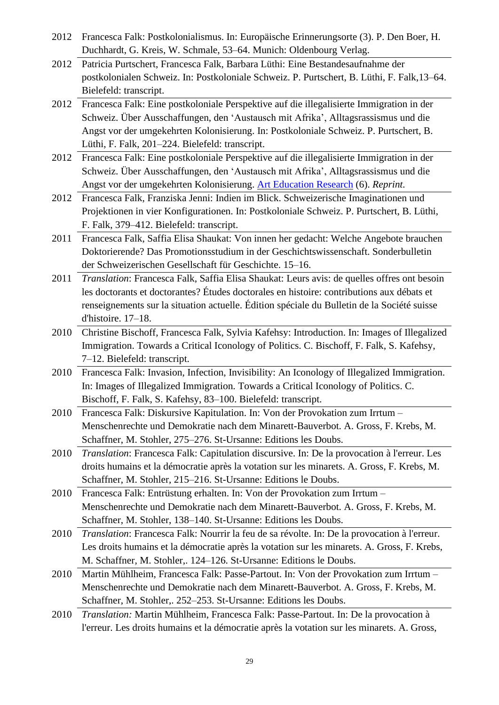- 2012 Francesca Falk: Postkolonialismus. In: Europäische Erinnerungsorte (3). P. Den Boer, H. Duchhardt, G. Kreis, W. Schmale, 53–64. Munich: Oldenbourg Verlag.
- 2012 Patricia Purtschert, Francesca Falk, Barbara Lüthi: Eine Bestandesaufnahme der postkolonialen Schweiz. In: Postkoloniale Schweiz. P. Purtschert, B. Lüthi, F. Falk,13–64. Bielefeld: transcript.
- 2012 Francesca Falk: Eine postkoloniale Perspektive auf die illegalisierte Immigration in der Schweiz. Über Ausschaffungen, den 'Austausch mit Afrika', Alltagsrassismus und die Angst vor der umgekehrten Kolonisierung. In: Postkoloniale Schweiz. P. Purtschert, B. Lüthi, F. Falk, 201–224. Bielefeld: transcript.
- 2012 Francesca Falk: Eine postkoloniale Perspektive auf die illegalisierte Immigration in der Schweiz. Über Ausschaffungen, den 'Austausch mit Afrika', Alltagsrassismus und die Angst vor der umgekehrten Kolonisierung. Art [Education](http://iae-journal.zhdk.ch/files/2012/12/AER6_Falk2.pdf) Research (6). *Reprint.*
- 2012 Francesca Falk, Franziska Jenni: Indien im Blick. Schweizerische Imaginationen und Projektionen in vier Konfigurationen. In: Postkoloniale Schweiz. P. Purtschert, B. Lüthi, F. Falk, 379–412. Bielefeld: transcript.
- 2011 Francesca Falk, Saffia Elisa Shaukat: Von innen her gedacht: Welche Angebote brauchen Doktorierende? Das Promotionsstudium in der Geschichtswissenschaft. Sonderbulletin der Schweizerischen Gesellschaft für Geschichte. 15–16.
- 2011 *Translation*: Francesca Falk, Saffia Elisa Shaukat: Leurs avis: de quelles offres ont besoin les doctorants et doctorantes? Études doctorales en histoire: contributions aux débats et renseignements sur la situation actuelle. Édition spéciale du Bulletin de la Société suisse d'histoire. 17–18.
- 2010 Christine Bischoff, Francesca Falk, Sylvia Kafehsy: Introduction. In: Images of Illegalized Immigration. Towards a Critical Iconology of Politics. C. Bischoff, F. Falk, S. Kafehsy, 7–12. Bielefeld: transcript.
- 2010 Francesca Falk: Invasion, Infection, Invisibility: An Iconology of Illegalized Immigration. In: Images of Illegalized Immigration. Towards a Critical Iconology of Politics. C. Bischoff, F. Falk, S. Kafehsy, 83–100. Bielefeld: transcript.
- 2010 Francesca Falk: Diskursive Kapitulation. In: Von der Provokation zum Irrtum Menschenrechte und Demokratie nach dem Minarett-Bauverbot. A. Gross, F. Krebs, M. Schaffner, M. Stohler, 275–276. St-Ursanne: Editions les Doubs.
- 2010 *Translation*: Francesca Falk: Capitulation discursive. In: De la provocation à l'erreur. Les droits humains et la démocratie après la votation sur les minarets. A. Gross, F. Krebs, M. Schaffner, M. Stohler, 215–216. St-Ursanne: Editions le Doubs.
- 2010 Francesca Falk: Entrüstung erhalten. In: Von der Provokation zum Irrtum Menschenrechte und Demokratie nach dem Minarett-Bauverbot. A. Gross, F. Krebs, M. Schaffner, M. Stohler, 138–140. St-Ursanne: Editions les Doubs.
- 2010 *Translation*: Francesca Falk: Nourrir la feu de sa révolte. In: De la provocation à l'erreur. Les droits humains et la démocratie après la votation sur les minarets. A. Gross, F. Krebs, M. Schaffner, M. Stohler,. 124–126. St-Ursanne: Editions le Doubs.
- 2010 Martin Mühlheim, Francesca Falk: Passe-Partout. In: Von der Provokation zum Irrtum Menschenrechte und Demokratie nach dem Minarett-Bauverbot. A. Gross, F. Krebs, M. Schaffner, M. Stohler,. 252–253. St-Ursanne: Editions les Doubs.
- 2010 *Translation:* Martin Mühlheim, Francesca Falk: Passe-Partout. In: De la provocation à l'erreur. Les droits humains et la démocratie après la votation sur les minarets. A. Gross,